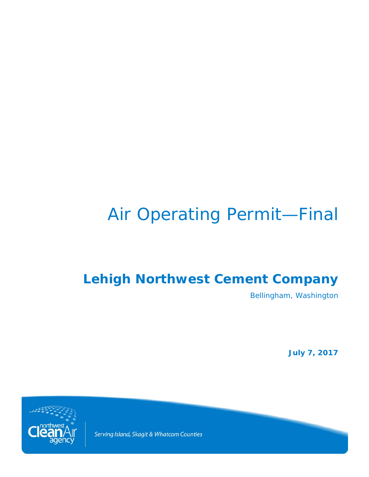# Air Operating Permit—Final

# **Lehigh Northwest Cement Company**

Bellingham, Washington

**July 7, 2017**



Serving Island, Skagit & Whatcom Counties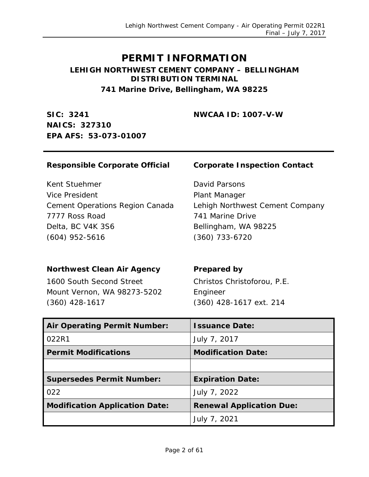# **PERMIT INFORMATION**

#### **LEHIGH NORTHWEST CEMENT COMPANY – BELLINGHAM DISTRIBUTION TERMINAL 741 Marine Drive, Bellingham, WA 98225**

**SIC: 3241 NAICS: 327310 EPA AFS: 53-073-01007** **NWCAA ID: 1007-V-W**

#### **Responsible Corporate Official Corporate Inspection Contact**

Kent Stuehmer Vice President Cement Operations Region Canada 7777 Ross Road Delta, BC V4K 3S6 (604) 952-5616

David Parsons Plant Manager Lehigh Northwest Cement Company 741 Marine Drive Bellingham, WA 98225 (360) 733-6720

#### **Northwest Clean Air Agency Prepared by**

1600 South Second Street Mount Vernon, WA 98273-5202 (360) 428-1617

Christos Christoforou, P.E. Engineer (360) 428-1617 ext. 214

| <b>Air Operating Permit Number:</b>   | <b>Issuance Date:</b>           |
|---------------------------------------|---------------------------------|
| 022R1                                 | July 7, 2017                    |
| <b>Permit Modifications</b>           | <b>Modification Date:</b>       |
|                                       |                                 |
| <b>Supersedes Permit Number:</b>      | <b>Expiration Date:</b>         |
| 022                                   | July 7, 2022                    |
| <b>Modification Application Date:</b> | <b>Renewal Application Due:</b> |
|                                       | July 7, 2021                    |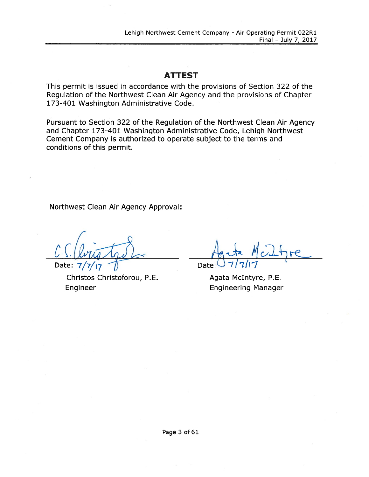### **ATTEST**

This permit is issued in accordance with the provisions of Section 322 of the Regulation of the Northwest Clean Air Agency and the provisions of Chapter 173-401 Washington Administrative Code.

Pursuant to Section 322 of the Regulation of the Northwest Clean Air Agency and Chapter 173-401 Washington Administrative Code, Lehigh Northwest Cement Company is authorized to operate subject to the terms and conditions of this permit.

Northwest Clean Air Agency Approval:

Date:  $7/7/17$ 

Christos Christoforou, P.E. Engineer

Date

Agata McIntyre, P.E. **Engineering Manager**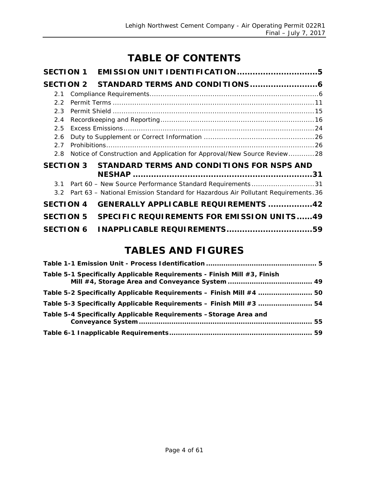# **TABLE OF CONTENTS**

| <b>SECTION 1</b> |                                                                                   |  |
|------------------|-----------------------------------------------------------------------------------|--|
| <b>SECTION 2</b> |                                                                                   |  |
| 2.1              |                                                                                   |  |
| 22               |                                                                                   |  |
| 2.3              |                                                                                   |  |
| 2.4              |                                                                                   |  |
| 2.5              |                                                                                   |  |
| 2.6              |                                                                                   |  |
| 27               |                                                                                   |  |
| 2.8              | Notice of Construction and Application for Approval/New Source Review28           |  |
| <b>SECTION 3</b> | STANDARD TERMS AND CONDITIONS FOR NSPS AND                                        |  |
|                  |                                                                                   |  |
| $\overline{3}$ 1 | Part 60 - New Source Performance Standard Requirements31                          |  |
| $3.2^{\circ}$    | Part 63 - National Emission Standard for Hazardous Air Pollutant Requirements. 36 |  |
| <b>SECTION 4</b> | <b>GENERALLY APPLICABLE REQUIREMENTS 42</b>                                       |  |
| <b>SECTION 5</b> | <b>SPECIFIC REQUIREMENTS FOR EMISSION UNITS49</b>                                 |  |
| <b>SECTION 6</b> | <b>INAPPLICABLE REQUIREMENTS59</b>                                                |  |

# **TABLES AND FIGURES**

| Table 5-1 Specifically Applicable Requirements - Finish Mill #3, Finish |  |
|-------------------------------------------------------------------------|--|
| Table 5-2 Specifically Applicable Requirements - Finish Mill #4  50     |  |
| Table 5-3 Specifically Applicable Requirements - Finish Mill #3  54     |  |
| Table 5-4 Specifically Applicable Requirements -Storage Area and        |  |
|                                                                         |  |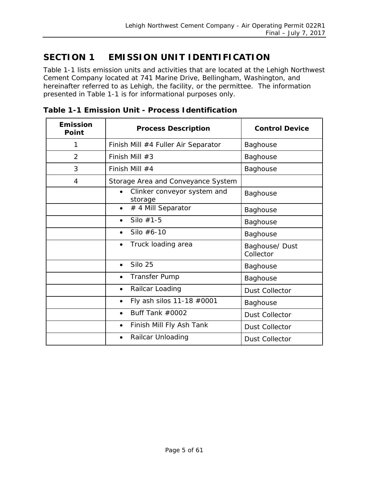# <span id="page-4-0"></span>**SECTION 1 EMISSION UNIT IDENTIFICATION**

[Table 1-1](#page-4-1) lists emission units and activities that are located at the Lehigh Northwest Cement Company located at 741 Marine Drive, Bellingham, Washington, and hereinafter referred to as Lehigh, the facility, or the permittee. The information presented in [Table 1-1](#page-4-1) is for informational purposes only.

| <b>Emission</b><br>Point | <b>Process Description</b>                          | <b>Control Device</b>       |
|--------------------------|-----------------------------------------------------|-----------------------------|
| 1                        | Finish Mill #4 Fuller Air Separator                 | Baghouse                    |
| $\overline{2}$           | Finish Mill $#3$                                    | Baghouse                    |
| 3                        | Finish Mill $#4$                                    | Baghouse                    |
| 4                        | Storage Area and Conveyance System                  |                             |
|                          | Clinker conveyor system and<br>$\bullet$<br>storage | Baghouse                    |
|                          | # 4 Mill Separator<br>$\bullet$                     | Baghouse                    |
|                          | Silo $#1-5$<br>$\bullet$                            | Baghouse                    |
|                          | Silo $#6-10$<br>$\bullet$                           | Baghouse                    |
|                          | Truck loading area<br>$\bullet$                     | Baghouse/ Dust<br>Collector |
|                          | Silo 25<br>$\bullet$                                | Baghouse                    |
|                          | <b>Transfer Pump</b><br>$\bullet$                   | Baghouse                    |
|                          | Railcar Loading<br>$\bullet$                        | <b>Dust Collector</b>       |
|                          | Fly ash silos 11-18 #0001<br>$\bullet$              | Baghouse                    |
|                          | Buff Tank #0002<br>$\bullet$                        | <b>Dust Collector</b>       |
|                          | Finish Mill Fly Ash Tank<br>$\bullet$               | <b>Dust Collector</b>       |
|                          | Railcar Unloading<br>$\bullet$                      | <b>Dust Collector</b>       |

<span id="page-4-1"></span>**Table 1-1 Emission Unit - Process Identification**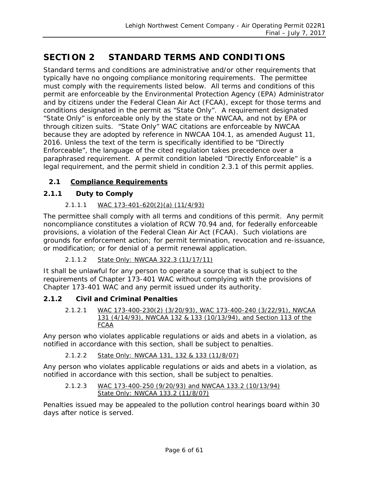# <span id="page-5-0"></span>**SECTION 2 STANDARD TERMS AND CONDITIONS**

Standard terms and conditions are administrative and/or other requirements that typically have no ongoing compliance monitoring requirements. The permittee must comply with the requirements listed below. All terms and conditions of this permit are enforceable by the Environmental Protection Agency (EPA) Administrator and by citizens under the Federal Clean Air Act (FCAA), except for those terms and conditions designated in the permit as "State Only". A requirement designated "State Only" is enforceable only by the state or the NWCAA, and not by EPA or through citizen suits. "State Only" WAC citations are enforceable by NWCAA because they are adopted by reference in NWCAA 104.1, as amended August 11, 2016. Unless the text of the term is specifically identified to be "Directly Enforceable", the language of the cited regulation takes precedence over a paraphrased requirement. A permit condition labeled "Directly Enforceable" is a legal requirement, and the permit shield in condition 2.3.1 of this permit applies.

#### <span id="page-5-1"></span>**2.1 Compliance Requirements**

#### **2.1.1 Duty to Comply**

#### *2.1.1.1 WAC 173-401-620(2)(a) (11/4/93)*

The permittee shall comply with all terms and conditions of this permit. Any permit noncompliance constitutes a violation of RCW 70.94 and, for federally enforceable provisions, a violation of the Federal Clean Air Act (FCAA). Such violations are grounds for enforcement action; for permit termination, revocation and re-issuance, or modification; or for denial of a permit renewal application.

#### *2.1.1.2 State Only: NWCAA 322.3 (11/17/11)*

It shall be unlawful for any person to operate a source that is subject to the requirements of Chapter 173-401 WAC without complying with the provisions of Chapter 173-401 WAC and any permit issued under its authority.

#### **2.1.2 Civil and Criminal Penalties**

*2.1.2.1 WAC 173-400-230(2) (3/20/93), WAC 173-400-240 (3/22/91), NWCAA 131 (4/14/93), NWCAA 132 & 133 (10/13/94), and Section 113 of the FCAA*

Any person who violates applicable regulations or aids and abets in a violation, as notified in accordance with this section, shall be subject to penalties.

#### *2.1.2.2 State Only: NWCAA 131, 132 & 133 (11/8/07)*

Any person who violates applicable regulations or aids and abets in a violation, as notified in accordance with this section, shall be subject to penalties.

#### *2.1.2.3 WAC 173-400-250 (9/20/93) and NWCAA 133.2 (10/13/94) State Only: NWCAA 133.2 (11/8/07)*

Penalties issued may be appealed to the pollution control hearings board within 30 days after notice is served.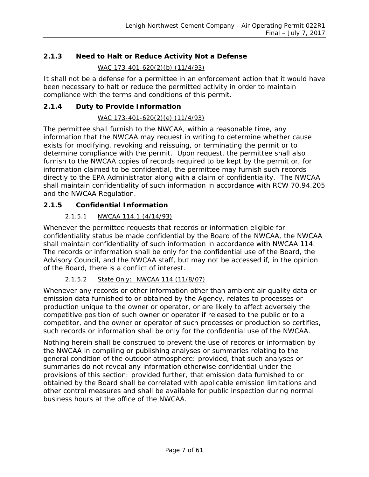#### **2.1.3 Need to Halt or Reduce Activity Not a Defense**

*WAC 173-401-620(2)(b) (11/4/93)*

It shall not be a defense for a permittee in an enforcement action that it would have been necessary to halt or reduce the permitted activity in order to maintain compliance with the terms and conditions of this permit.

#### **2.1.4 Duty to Provide Information**

#### *WAC 173-401-620(2)(e) (11/4/93)*

The permittee shall furnish to the NWCAA, within a reasonable time, any information that the NWCAA may request in writing to determine whether cause exists for modifying, revoking and reissuing, or terminating the permit or to determine compliance with the permit. Upon request, the permittee shall also furnish to the NWCAA copies of records required to be kept by the permit or, for information claimed to be confidential, the permittee may furnish such records directly to the EPA Administrator along with a claim of confidentiality. The NWCAA shall maintain confidentiality of such information in accordance with RCW 70.94.205 and the NWCAA Regulation.

#### **2.1.5 Confidential Information**

#### *2.1.5.1 NWCAA 114.1 (4/14/93)*

Whenever the permittee requests that records or information eligible for confidentiality status be made confidential by the Board of the NWCAA, the NWCAA shall maintain confidentiality of such information in accordance with NWCAA 114. The records or information shall be only for the confidential use of the Board, the Advisory Council, and the NWCAA staff, but may not be accessed if, in the opinion of the Board, there is a conflict of interest.

#### *2.1.5.2 State Only: NWCAA 114 (11/8/07)*

Whenever any records or other information other than ambient air quality data or emission data furnished to or obtained by the Agency, relates to processes or production unique to the owner or operator, or are likely to affect adversely the competitive position of such owner or operator if released to the public or to a competitor, and the owner or operator of such processes or production so certifies, such records or information shall be only for the confidential use of the NWCAA.

Nothing herein shall be construed to prevent the use of records or information by the NWCAA in compiling or publishing analyses or summaries relating to the general condition of the outdoor atmosphere: provided, that such analyses or summaries do not reveal any information otherwise confidential under the provisions of this section: provided further, that emission data furnished to or obtained by the Board shall be correlated with applicable emission limitations and other control measures and shall be available for public inspection during normal business hours at the office of the NWCAA.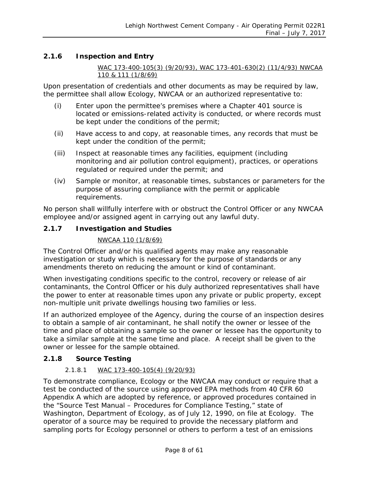#### **2.1.6 Inspection and Entry**

*WAC 173-400-105(3) (9/20/93), WAC 173-401-630(2) (11/4/93) NWCAA 110 & 111 (1/8/69)*

Upon presentation of credentials and other documents as may be required by law, the permittee shall allow Ecology, NWCAA or an authorized representative to:

- (i) Enter upon the permittee's premises where a Chapter 401 source is located or emissions-related activity is conducted, or where records must be kept under the conditions of the permit;
- (ii) Have access to and copy, at reasonable times, any records that must be kept under the condition of the permit;
- (iii) Inspect at reasonable times any facilities, equipment (including monitoring and air pollution control equipment), practices, or operations regulated or required under the permit; and
- (iv) Sample or monitor, at reasonable times, substances or parameters for the purpose of assuring compliance with the permit or applicable requirements.

No person shall willfully interfere with or obstruct the Control Officer or any NWCAA employee and/or assigned agent in carrying out any lawful duty.

#### **2.1.7 Investigation and Studies**

#### *NWCAA 110 (1/8/69)*

The Control Officer and/or his qualified agents may make any reasonable investigation or study which is necessary for the purpose of standards or any amendments thereto on reducing the amount or kind of contaminant.

When investigating conditions specific to the control, recovery or release of air contaminants, the Control Officer or his duly authorized representatives shall have the power to enter at reasonable times upon any private or public property, except non-multiple unit private dwellings housing two families or less.

If an authorized employee of the Agency, during the course of an inspection desires to obtain a sample of air contaminant, he shall notify the owner or lessee of the time and place of obtaining a sample so the owner or lessee has the opportunity to take a similar sample at the same time and place. A receipt shall be given to the owner or lessee for the sample obtained.

#### **2.1.8 Source Testing**

#### *2.1.8.1 WAC 173-400-105(4) (9/20/93)*

To demonstrate compliance, Ecology or the NWCAA may conduct or require that a test be conducted of the source using approved EPA methods from 40 CFR 60 Appendix A which are adopted by reference, or approved procedures contained in the "Source Test Manual – Procedures for Compliance Testing," state of Washington, Department of Ecology, as of July 12, 1990, on file at Ecology. The operator of a source may be required to provide the necessary platform and sampling ports for Ecology personnel or others to perform a test of an emissions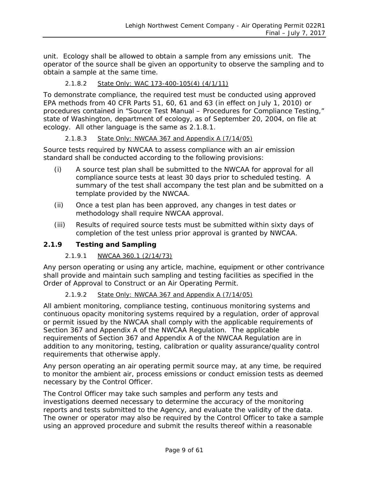unit. Ecology shall be allowed to obtain a sample from any emissions unit. The operator of the source shall be given an opportunity to observe the sampling and to obtain a sample at the same time.

#### *2.1.8.2 State Only: WAC 173-400-105(4) (4/1/11)*

To demonstrate compliance, the required test must be conducted using approved EPA methods from 40 CFR Parts 51, 60, 61 and 63 (in effect on July 1, 2010) or procedures contained in "*Source Test Manual – Procedures for Compliance Testing*," state of Washington, department of ecology, as of September 20, 2004, on file at ecology. All other language is the same as 2.1.8.1.

#### *2.1.8.3 State Only: NWCAA 367 and Appendix A (7/14/05)*

Source tests required by NWCAA to assess compliance with an air emission standard shall be conducted according to the following provisions:

- (i) A source test plan shall be submitted to the NWCAA for approval for all compliance source tests at least 30 days prior to scheduled testing. A summary of the test shall accompany the test plan and be submitted on a template provided by the NWCAA.
- (ii) Once a test plan has been approved, any changes in test dates or methodology shall require NWCAA approval.
- (iii) Results of required source tests must be submitted within sixty days of completion of the test unless prior approval is granted by NWCAA.

#### **2.1.9 Testing and Sampling**

#### *2.1.9.1 NWCAA 360.1 (2/14/73)*

Any person operating or using any article, machine, equipment or other contrivance shall provide and maintain such sampling and testing facilities as specified in the Order of Approval to Construct or an Air Operating Permit.

#### *2.1.9.2 State Only: NWCAA 367 and Appendix A (7/14/05)*

All ambient monitoring, compliance testing, continuous monitoring systems and continuous opacity monitoring systems required by a regulation, order of approval or permit issued by the NWCAA shall comply with the applicable requirements of Section 367 and Appendix A of the NWCAA Regulation. The applicable requirements of Section 367 and Appendix A of the NWCAA Regulation are in addition to any monitoring, testing, calibration or quality assurance/quality control requirements that otherwise apply.

Any person operating an air operating permit source may, at any time, be required to monitor the ambient air, process emissions or conduct emission tests as deemed necessary by the Control Officer.

The Control Officer may take such samples and perform any tests and investigations deemed necessary to determine the accuracy of the monitoring reports and tests submitted to the Agency, and evaluate the validity of the data. The owner or operator may also be required by the Control Officer to take a sample using an approved procedure and submit the results thereof within a reasonable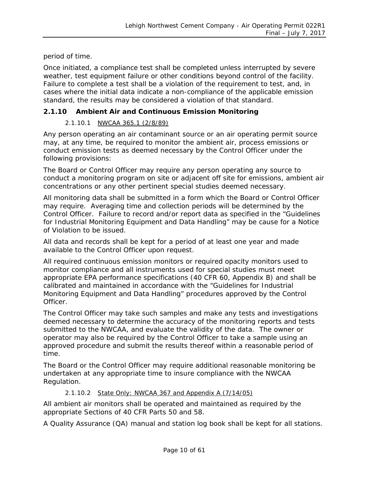period of time.

Once initiated, a compliance test shall be completed unless interrupted by severe weather, test equipment failure or other conditions beyond control of the facility. Failure to complete a test shall be a violation of the requirement to test, and, in cases where the initial data indicate a non-compliance of the applicable emission standard, the results may be considered a violation of that standard.

#### **2.1.10 Ambient Air and Continuous Emission Monitoring**

#### *2.1.10.1 NWCAA 365.1 (2/8/89)*

Any person operating an air contaminant source or an air operating permit source may, at any time, be required to monitor the ambient air, process emissions or conduct emission tests as deemed necessary by the Control Officer under the following provisions:

The Board or Control Officer may require any person operating any source to conduct a monitoring program on site or adjacent off site for emissions, ambient air concentrations or any other pertinent special studies deemed necessary.

All monitoring data shall be submitted in a form which the Board or Control Officer may require. Averaging time and collection periods will be determined by the Control Officer. Failure to record and/or report data as specified in the "Guidelines for Industrial Monitoring Equipment and Data Handling" may be cause for a Notice of Violation to be issued.

All data and records shall be kept for a period of at least one year and made available to the Control Officer upon request.

All required continuous emission monitors or required opacity monitors used to monitor compliance and all instruments used for special studies must meet appropriate EPA performance specifications (40 CFR 60, Appendix B) and shall be calibrated and maintained in accordance with the "Guidelines for Industrial Monitoring Equipment and Data Handling" procedures approved by the Control Officer.

The Control Officer may take such samples and make any tests and investigations deemed necessary to determine the accuracy of the monitoring reports and tests submitted to the NWCAA, and evaluate the validity of the data. The owner or operator may also be required by the Control Officer to take a sample using an approved procedure and submit the results thereof within a reasonable period of time.

The Board or the Control Officer may require additional reasonable monitoring be undertaken at any appropriate time to insure compliance with the NWCAA Regulation.

#### *2.1.10.2 State Only: NWCAA 367 and Appendix A (7/14/05)*

All ambient air monitors shall be operated and maintained as required by the appropriate Sections of 40 CFR Parts 50 and 58.

A Quality Assurance (QA) manual and station log book shall be kept for all stations.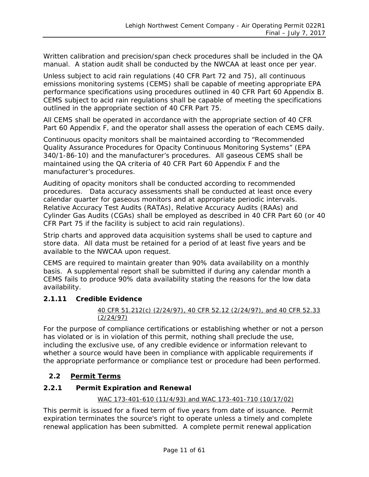Written calibration and precision/span check procedures shall be included in the QA manual. A station audit shall be conducted by the NWCAA at least once per year.

Unless subject to acid rain regulations (40 CFR Part 72 and 75), all continuous emissions monitoring systems (CEMS) shall be capable of meeting appropriate EPA performance specifications using procedures outlined in 40 CFR Part 60 Appendix B. CEMS subject to acid rain regulations shall be capable of meeting the specifications outlined in the appropriate section of 40 CFR Part 75.

All CEMS shall be operated in accordance with the appropriate section of 40 CFR Part 60 Appendix F, and the operator shall assess the operation of each CEMS daily.

Continuous opacity monitors shall be maintained according to "Recommended Quality Assurance Procedures for Opacity Continuous Monitoring Systems" (EPA 340/1-86-10) and the manufacturer's procedures. All gaseous CEMS shall be maintained using the QA criteria of 40 CFR Part 60 Appendix F and the manufacturer's procedures.

Auditing of opacity monitors shall be conducted according to recommended procedures. Data accuracy assessments shall be conducted at least once every calendar quarter for gaseous monitors and at appropriate periodic intervals. Relative Accuracy Test Audits (RATAs), Relative Accuracy Audits (RAAs) and Cylinder Gas Audits (CGAs) shall be employed as described in 40 CFR Part 60 (or 40 CFR Part 75 if the facility is subject to acid rain regulations).

Strip charts and approved data acquisition systems shall be used to capture and store data. All data must be retained for a period of at least five years and be available to the NWCAA upon request.

CEMS are required to maintain greater than 90% data availability on a monthly basis. A supplemental report shall be submitted if during any calendar month a CEMS fails to produce 90% data availability stating the reasons for the low data availability.

#### **2.1.11 Credible Evidence**

#### *40 CFR 51.212(c) (2/24/97), 40 CFR 52.12 (2/24/97), and 40 CFR 52.33 (2/24/97)*

For the purpose of compliance certifications or establishing whether or not a person has violated or is in violation of this permit, nothing shall preclude the use, including the exclusive use, of any credible evidence or information relevant to whether a source would have been in compliance with applicable requirements if the appropriate performance or compliance test or procedure had been performed.

#### <span id="page-10-0"></span>**2.2 Permit Terms**

#### **2.2.1 Permit Expiration and Renewal**

#### *WAC 173-401-610 (11/4/93) and WAC 173-401-710 (10/17/02)*

This permit is issued for a fixed term of five years from date of issuance. Permit expiration terminates the source's right to operate unless a timely and complete renewal application has been submitted. A complete permit renewal application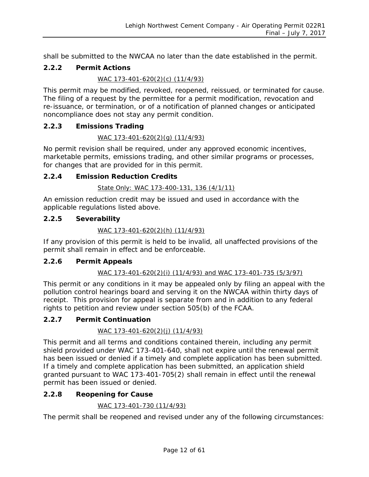shall be submitted to the NWCAA no later than the date established in the permit.

#### **2.2.2 Permit Actions**

#### *WAC 173-401-620(2)(c) (11/4/93)*

This permit may be modified, revoked, reopened, reissued, or terminated for cause. The filing of a request by the permittee for a permit modification, revocation and re-issuance, or termination, or of a notification of planned changes or anticipated noncompliance does not stay any permit condition.

#### **2.2.3 Emissions Trading**

#### *WAC 173-401-620(2)(g) (11/4/93)*

No permit revision shall be required, under any approved economic incentives, marketable permits, emissions trading, and other similar programs or processes, for changes that are provided for in this permit.

#### **2.2.4 Emission Reduction Credits**

#### *State Only: WAC 173-400-131, 136 (4/1/11)*

An emission reduction credit may be issued and used in accordance with the applicable regulations listed above.

#### **2.2.5 Severability**

#### *WAC 173-401-620(2)(h) (11/4/93)*

If any provision of this permit is held to be invalid, all unaffected provisions of the permit shall remain in effect and be enforceable.

#### **2.2.6 Permit Appeals**

#### *WAC 173-401-620(2)(i) (11/4/93) and WAC 173-401-735 (5/3/97)*

This permit or any conditions in it may be appealed only by filing an appeal with the pollution control hearings board and serving it on the NWCAA within thirty days of receipt. This provision for appeal is separate from and in addition to any federal rights to petition and review under section 505(b) of the FCAA.

#### **2.2.7 Permit Continuation**

#### *WAC 173-401-620(2)(j) (11/4/93)*

This permit and all terms and conditions contained therein, including any permit shield provided under WAC 173-401-640, shall not expire until the renewal permit has been issued or denied if a timely and complete application has been submitted. If a timely and complete application has been submitted, an application shield granted pursuant to WAC 173-401-705(2) shall remain in effect until the renewal permit has been issued or denied.

#### **2.2.8 Reopening for Cause**

#### *WAC 173-401-730 (11/4/93)*

The permit shall be reopened and revised under any of the following circumstances: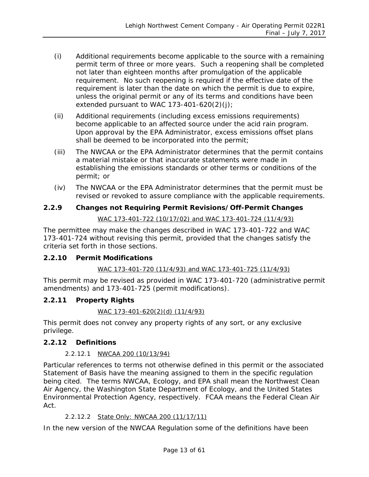- (i) Additional requirements become applicable to the source with a remaining permit term of three or more years. Such a reopening shall be completed not later than eighteen months after promulgation of the applicable requirement. No such reopening is required if the effective date of the requirement is later than the date on which the permit is due to expire, unless the original permit or any of its terms and conditions have been extended pursuant to WAC 173-401-620(2)(j);
- (ii) Additional requirements (including excess emissions requirements) become applicable to an affected source under the acid rain program. Upon approval by the EPA Administrator, excess emissions offset plans shall be deemed to be incorporated into the permit;
- (iii) The NWCAA or the EPA Administrator determines that the permit contains a material mistake or that inaccurate statements were made in establishing the emissions standards or other terms or conditions of the permit; or
- (iv) The NWCAA or the EPA Administrator determines that the permit must be revised or revoked to assure compliance with the applicable requirements.

# **2.2.9 Changes not Requiring Permit Revisions/Off-Permit Changes**

*WAC 173-401-722 (10/17/02) and WAC 173-401-724 (11/4/93)*

The permittee may make the changes described in WAC 173-401-722 and WAC 173-401-724 without revising this permit, provided that the changes satisfy the criteria set forth in those sections.

#### **2.2.10 Permit Modifications**

#### *WAC 173-401-720 (11/4/93) and WAC 173-401-725 (11/4/93)*

This permit may be revised as provided in WAC 173-401-720 (administrative permit amendments) and 173-401-725 (permit modifications).

#### **2.2.11 Property Rights**

#### *WAC 173-401-620(2)(d) (11/4/93)*

This permit does not convey any property rights of any sort, or any exclusive privilege.

#### **2.2.12 Definitions**

#### *2.2.12.1 NWCAA 200 (10/13/94)*

Particular references to terms not otherwise defined in this permit or the associated Statement of Basis have the meaning assigned to them in the specific regulation being cited. The terms NWCAA, Ecology, and EPA shall mean the Northwest Clean Air Agency, the Washington State Department of Ecology, and the United States Environmental Protection Agency, respectively. FCAA means the Federal Clean Air Act.

#### *2.2.12.2 State Only: NWCAA 200 (11/17/11)*

In the new version of the NWCAA Regulation some of the definitions have been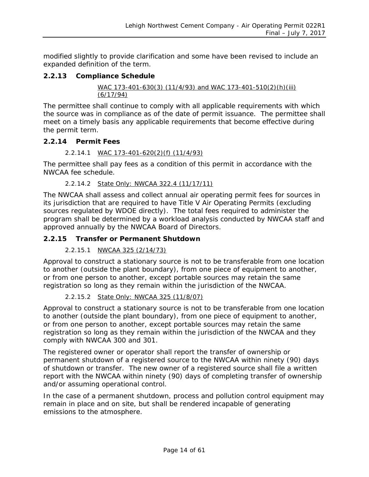modified slightly to provide clarification and some have been revised to include an expanded definition of the term.

#### **2.2.13 Compliance Schedule**

*WAC 173-401-630(3) (11/4/93) and WAC 173-401-510(2)(h)(iii) (6/17/94)*

The permittee shall continue to comply with all applicable requirements with which the source was in compliance as of the date of permit issuance. The permittee shall meet on a timely basis any applicable requirements that become effective during the permit term.

#### **2.2.14 Permit Fees**

#### *2.2.14.1 WAC 173-401-620(2)(f) (11/4/93)*

The permittee shall pay fees as a condition of this permit in accordance with the NWCAA fee schedule.

#### *2.2.14.2 State Only: NWCAA 322.4 (11/17/11)*

The NWCAA shall assess and collect annual air operating permit fees for sources in its jurisdiction that are required to have Title V Air Operating Permits (excluding sources regulated by WDOE directly). The total fees required to administer the program shall be determined by a workload analysis conducted by NWCAA staff and approved annually by the NWCAA Board of Directors.

#### **2.2.15 Transfer or Permanent Shutdown**

#### *2.2.15.1 NWCAA 325 (2/14/73)*

Approval to construct a stationary source is not to be transferable from one location to another (outside the plant boundary), from one piece of equipment to another, or from one person to another, except portable sources may retain the same registration so long as they remain within the jurisdiction of the NWCAA.

#### *2.2.15.2 State Only: NWCAA 325 (11/8/07)*

Approval to construct a stationary source is not to be transferable from one location to another (outside the plant boundary), from one piece of equipment to another, or from one person to another, except portable sources may retain the same registration so long as they remain within the jurisdiction of the NWCAA and they comply with NWCAA 300 and 301.

The registered owner or operator shall report the transfer of ownership or permanent shutdown of a registered source to the NWCAA within ninety (90) days of shutdown or transfer. The new owner of a registered source shall file a written report with the NWCAA within ninety (90) days of completing transfer of ownership and/or assuming operational control.

In the case of a permanent shutdown, process and pollution control equipment may remain in place and on site, but shall be rendered incapable of generating emissions to the atmosphere.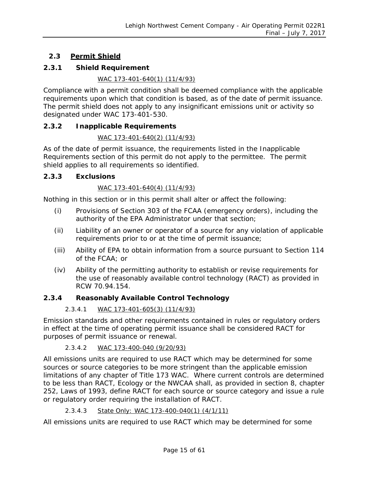#### <span id="page-14-0"></span>**2.3 Permit Shield**

#### **2.3.1 Shield Requirement**

#### *WAC 173-401-640(1) (11/4/93)*

Compliance with a permit condition shall be deemed compliance with the applicable requirements upon which that condition is based, as of the date of permit issuance. The permit shield does not apply to any insignificant emissions unit or activity so designated under WAC 173-401-530.

#### **2.3.2 Inapplicable Requirements**

#### *WAC 173-401-640(2) (11/4/93)*

As of the date of permit issuance, the requirements listed in the Inapplicable Requirements section of this permit do not apply to the permittee. The permit shield applies to all requirements so identified.

#### **2.3.3 Exclusions**

#### *WAC 173-401-640(4) (11/4/93)*

Nothing in this section or in this permit shall alter or affect the following:

- (i) Provisions of Section 303 of the FCAA (emergency orders), including the authority of the EPA Administrator under that section;
- (ii) Liability of an owner or operator of a source for any violation of applicable requirements prior to or at the time of permit issuance;
- (iii) Ability of EPA to obtain information from a source pursuant to Section 114 of the FCAA; or
- (iv) Ability of the permitting authority to establish or revise requirements for the use of reasonably available control technology (RACT) as provided in RCW 70.94.154.

#### **2.3.4 Reasonably Available Control Technology**

#### *2.3.4.1 WAC 173-401-605(3) (11/4/93)*

Emission standards and other requirements contained in rules or regulatory orders in effect at the time of operating permit issuance shall be considered RACT for purposes of permit issuance or renewal.

#### *2.3.4.2 WAC 173-400-040 (9/20/93)*

All emissions units are required to use RACT which may be determined for some sources or source categories to be more stringent than the applicable emission limitations of any chapter of Title 173 WAC. Where current controls are determined to be less than RACT, Ecology or the NWCAA shall, as provided in section 8, chapter 252, Laws of 1993, define RACT for each source or source category and issue a rule or regulatory order requiring the installation of RACT.

#### *2.3.4.3 State Only: WAC 173-400-040(1) (4/1/11)*

All emissions units are required to use RACT which may be determined for some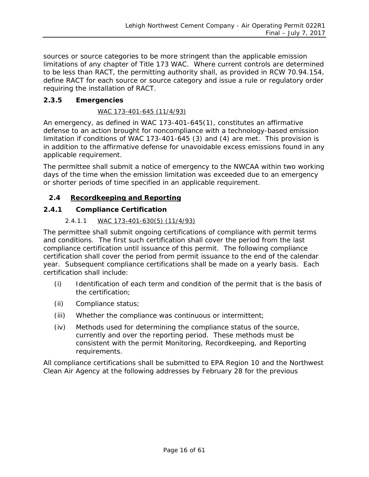sources or source categories to be more stringent than the applicable emission limitations of any chapter of Title 173 WAC. Where current controls are determined to be less than RACT, the permitting authority shall, as provided in RCW 70.94.154, define RACT for each source or source category and issue a rule or regulatory order requiring the installation of RACT.

#### **2.3.5 Emergencies**

#### *WAC 173-401-645 (11/4/93)*

An emergency, as defined in WAC 173-401-645(1), constitutes an affirmative defense to an action brought for noncompliance with a technology-based emission limitation if conditions of WAC 173-401-645 (3) and (4) are met. This provision is in addition to the affirmative defense for unavoidable excess emissions found in any applicable requirement.

The permittee shall submit a notice of emergency to the NWCAA within two working days of the time when the emission limitation was exceeded due to an emergency or shorter periods of time specified in an applicable requirement.

#### <span id="page-15-0"></span>**2.4 Recordkeeping and Reporting**

#### **2.4.1 Compliance Certification**

#### *2.4.1.1 WAC 173-401-630(5) (11/4/93)*

The permittee shall submit ongoing certifications of compliance with permit terms and conditions. The first such certification shall cover the period from the last compliance certification until issuance of this permit. The following compliance certification shall cover the period from permit issuance to the end of the calendar year. Subsequent compliance certifications shall be made on a yearly basis. Each certification shall include:

- (i) Identification of each term and condition of the permit that is the basis of the certification;
- (ii) Compliance status;
- (iii) Whether the compliance was continuous or intermittent;
- (iv) Methods used for determining the compliance status of the source, currently and over the reporting period. These methods must be consistent with the permit Monitoring, Recordkeeping, and Reporting requirements.

All compliance certifications shall be submitted to EPA Region 10 and the Northwest Clean Air Agency at the following addresses by February 28 for the previous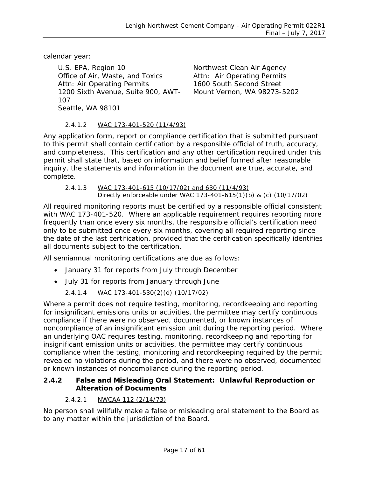calendar year:

U.S. EPA, Region 10 **Northwest Clean Air Agency** Office of Air, Waste, and Toxics Attn: Air Operating Permits Attn: Air Operating Permits 1600 South Second Street 1200 Sixth Avenue, Suite 900, AWT-107 Seattle, WA 98101

Mount Vernon, WA 98273-5202

#### *2.4.1.2 WAC 173-401-520 (11/4/93)*

Any application form, report or compliance certification that is submitted pursuant to this permit shall contain certification by a responsible official of truth, accuracy, and completeness. This certification and any other certification required under this permit shall state that, based on information and belief formed after reasonable inquiry, the statements and information in the document are true, accurate, and complete.

#### *2.4.1.3 WAC 173-401-615 (10/17/02) and 630 (11/4/93) Directly enforceable under WAC 173-401-615(1)(b) & (c) (10/17/02)*

All required monitoring reports must be certified by a responsible official consistent with WAC 173-401-520. Where an applicable requirement requires reporting more frequently than once every six months, the responsible official's certification need only to be submitted once every six months, covering all required reporting since the date of the last certification, provided that the certification specifically identifies all documents subject to the certification.

All semiannual monitoring certifications are due as follows:

- January 31 for reports from July through December
- July 31 for reports from January through June

#### *2.4.1.4 WAC 173-401-530(2)(d) (10/17/02)*

Where a permit does not require testing, monitoring, recordkeeping and reporting for insignificant emissions units or activities, the permittee may certify continuous compliance if there were no observed, documented, or known instances of noncompliance of an insignificant emission unit during the reporting period. Where an underlying OAC requires testing, monitoring, recordkeeping and reporting for insignificant emission units or activities, the permittee may certify continuous compliance when the testing, monitoring and recordkeeping required by the permit revealed no violations during the period, and there were no observed, documented or known instances of noncompliance during the reporting period.

#### **2.4.2 False and Misleading Oral Statement: Unlawful Reproduction or Alteration of Documents**

#### *2.4.2.1 NWCAA 112 (2/14/73)*

No person shall willfully make a false or misleading oral statement to the Board as to any matter within the jurisdiction of the Board.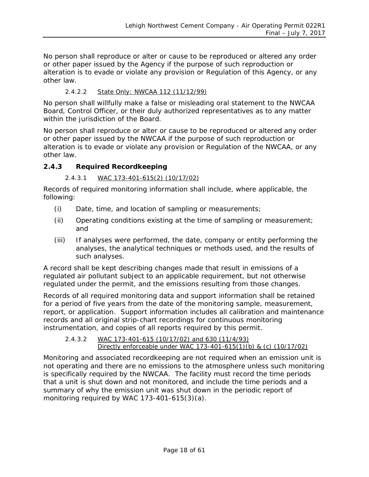<span id="page-17-0"></span>No person shall reproduce or alter or cause to be reproduced or altered any order or other paper issued by the Agency if the purpose of such reproduction or alteration is to evade or violate any provision or Regulation of this Agency, or any other law.

#### *2.4.2.2 State Only: NWCAA 112 (11/12/99)*

No person shall willfully make a false or misleading oral statement to the NWCAA Board, Control Officer, or their duly authorized representatives as to any matter within the jurisdiction of the Board.

No person shall reproduce or alter or cause to be reproduced or altered any order or other paper issued by the NWCAA if the purpose of such reproduction or alteration is to evade or violate any provision or Regulation of the NWCAA, or any other law.

#### **2.4.3 Required Recordkeeping**

#### *2.4.3.1 WAC 173-401-615(2) (10/17/02)*

Records of required monitoring information shall include, where applicable, the following:

- (i) Date, time, and location of sampling or measurements;
- (ii) Operating conditions existing at the time of sampling or measurement; and
- (iii) If analyses were performed, the date, company or entity performing the analyses, the analytical techniques or methods used, and the results of such analyses.

A record shall be kept describing changes made that result in emissions of a regulated air pollutant subject to an applicable requirement, but not otherwise regulated under the permit, and the emissions resulting from those changes.

Records of all required monitoring data and support information shall be retained for a period of five years from the date of the monitoring sample, measurement, report, or application. Support information includes all calibration and maintenance records and all original strip-chart recordings for continuous monitoring instrumentation, and copies of all reports required by this permit.

#### *2.4.3.2 WAC 173-401-615 (10/17/02) and 630 (11/4/93) Directly enforceable under WAC 173-401-615(1)(b) & (c) (10/17/02)*

Monitoring and associated recordkeeping are not required when an emission unit is not operating and there are no emissions to the atmosphere unless such monitoring is specifically required by the NWCAA. The facility must record the time periods that a unit is shut down and not monitored, and include the time periods and a summary of why the emission unit was shut down in the periodic report of monitoring required by WAC 173-401-615(3)(a).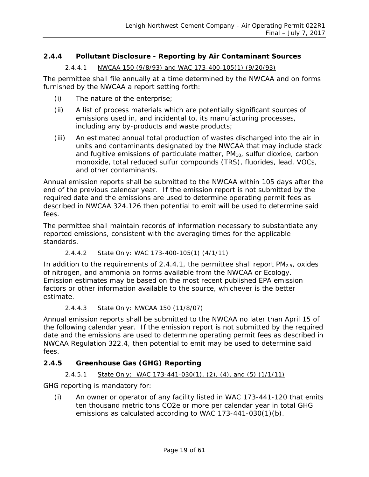#### <span id="page-18-0"></span>**2.4.4 Pollutant Disclosure - Reporting by Air Contaminant Sources**

#### *2.4.4.1 NWCAA 150 (9/8/93) and WAC 173-400-105(1) (9/20/93)*

The permittee shall file annually at a time determined by the NWCAA and on forms furnished by the NWCAA a report setting forth:

- (i) The nature of the enterprise;
- (ii) A list of process materials which are potentially significant sources of emissions used in, and incidental to, its manufacturing processes, including any by-products and waste products;
- (iii) An estimated annual total production of wastes discharged into the air in units and contaminants designated by the NWCAA that may include stack and fugitive emissions of particulate matter,  $PM<sub>10</sub>$ , sulfur dioxide, carbon monoxide, total reduced sulfur compounds (TRS), fluorides, lead, VOCs, and other contaminants.

Annual emission reports shall be submitted to the NWCAA within 105 days after the end of the previous calendar year. If the emission report is not submitted by the required date and the emissions are used to determine operating permit fees as described in NWCAA 324.126 then potential to emit will be used to determine said fees.

The permittee shall maintain records of information necessary to substantiate any reported emissions, consistent with the averaging times for the applicable standards.

#### *2.4.4.2 State Only: WAC 173-400-105(1) (4/1/11)*

In addition to the requirements of [2.4.4.1,](#page-18-0) the permittee shall report  $PM<sub>2.5</sub>$ , oxides of nitrogen, and ammonia on forms available from the NWCAA or Ecology. Emission estimates may be based on the most recent published EPA emission factors or other information available to the source, whichever is the better estimate.

#### *2.4.4.3 State Only: NWCAA 150 (11/8/07)*

Annual emission reports shall be submitted to the NWCAA no later than April 15 of the following calendar year. If the emission report is not submitted by the required date and the emissions are used to determine operating permit fees as described in NWCAA Regulation 322.4, then potential to emit may be used to determine said fees.

#### **2.4.5 Greenhouse Gas (GHG) Reporting**

#### *2.4.5.1 State Only: WAC 173-441-030(1), (2), (4), and (5) (1/1/11)*

GHG reporting is mandatory for:

(i) An owner or operator of any facility listed in WAC 173-441-120 that emits ten thousand metric tons CO2e or more per calendar year in total GHG emissions as calculated according to WAC 173-441-030(1)(b).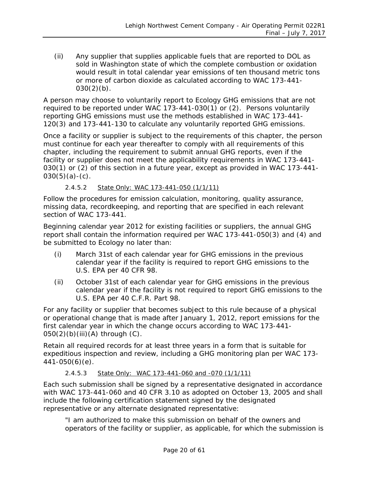(ii) Any supplier that supplies applicable fuels that are reported to DOL as sold in Washington state of which the complete combustion or oxidation would result in total calendar year emissions of ten thousand metric tons or more of carbon dioxide as calculated according to WAC 173-441-  $030(2)(b)$ .

A person may choose to voluntarily report to Ecology GHG emissions that are not required to be reported under WAC 173-441-030(1) or (2). Persons voluntarily reporting GHG emissions must use the methods established in WAC 173-441- 120(3) and 173-441-130 to calculate any voluntarily reported GHG emissions.

Once a facility or supplier is subject to the requirements of this chapter, the person must continue for each year thereafter to comply with all requirements of this chapter, including the requirement to submit annual GHG reports, even if the facility or supplier does not meet the applicability requirements in WAC 173-441- 030(1) or (2) of this section in a future year, except as provided in WAC 173-441-  $030(5)(a)-(c)$ .

#### *2.4.5.2 State Only: WAC 173-441-050 (1/1/11)*

Follow the procedures for emission calculation, monitoring, quality assurance, missing data, recordkeeping, and reporting that are specified in each relevant section of WAC 173-441.

Beginning calendar year 2012 for existing facilities or suppliers, the annual GHG report shall contain the information required per WAC 173-441-050(3) and (4) and be submitted to Ecology no later than:

- (i) March 31st of each calendar year for GHG emissions in the previous calendar year if the facility is required to report GHG emissions to the U.S. EPA per 40 CFR 98.
- (ii) October 31st of each calendar year for GHG emissions in the previous calendar year if the facility is not required to report GHG emissions to the U.S. EPA per 40 C.F.R. Part 98.

For any facility or supplier that becomes subject to this rule because of a physical or operational change that is made after January 1, 2012, report emissions for the first calendar year in which the change occurs according to WAC 173-441- 050(2)(b)(iii)(A) through (C).

Retain all required records for at least three years in a form that is suitable for expeditious inspection and review, including a GHG monitoring plan per WAC 173- 441-050(6)(e).

#### *2.4.5.3 State Only: WAC 173-441-060 and -070 (1/1/11)*

Each such submission shall be signed by a representative designated in accordance with WAC 173-441-060 and 40 CFR 3.10 as adopted on October 13, 2005 and shall include the following certification statement signed by the designated representative or any alternate designated representative:

"I am authorized to make this submission on behalf of the owners and operators of the facility or supplier, as applicable, for which the submission is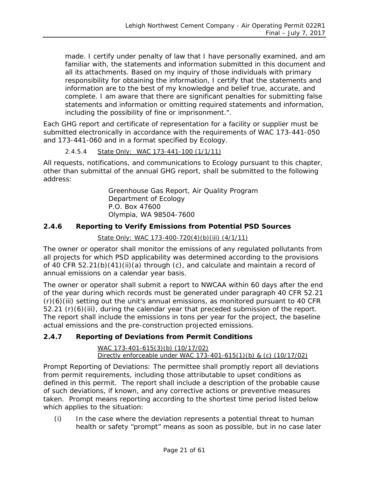made. I certify under penalty of law that I have personally examined, and am familiar with, the statements and information submitted in this document and all its attachments. Based on my inquiry of those individuals with primary responsibility for obtaining the information, I certify that the statements and information are to the best of my knowledge and belief true, accurate, and complete. I am aware that there are significant penalties for submitting false statements and information or omitting required statements and information, including the possibility of fine or imprisonment.".

Each GHG report and certificate of representation for a facility or supplier must be submitted electronically in accordance with the requirements of WAC 173-441-050 and 173-441-060 and in a format specified by Ecology.

#### *2.4.5.4 State Only: WAC 173-441-100 (1/1/11)*

All requests, notifications, and communications to Ecology pursuant to this chapter, other than submittal of the annual GHG report, shall be submitted to the following address:

> Greenhouse Gas Report, Air Quality Program Department of Ecology P.O. Box 47600 Olympia, WA 98504-7600

#### **2.4.6 Reporting to Verify Emissions from Potential PSD Sources**

#### *State Only: WAC 173-400-720(4)(b)(iii) (4/1/11)*

The owner or operator shall monitor the emissions of any regulated pollutants from all projects for which PSD applicability was determined according to the provisions of 40 CFR 52.21(b)(41)(ii)(a) through (c), and calculate and maintain a record of annual emissions on a calendar year basis.

The owner or operator shall submit a report to NWCAA within 60 days after the end of the year during which records must be generated under paragraph 40 CFR 52.21  $(r)(6)(iii)$  setting out the unit's annual emissions, as monitored pursuant to 40 CFR 52.21 (r)(6)(iii), during the calendar year that preceded submission of the report. The report shall include the emissions in tons per year for the project, the baseline actual emissions and the pre-construction projected emissions.

#### **2.4.7 Reporting of Deviations from Permit Conditions**

*WAC 173-401-615(3)(b) (10/17/02) Directly enforceable under WAC 173-401-615(1)(b) & (c) (10/17/02)*

Prompt Reporting of Deviations: The permittee shall promptly report all deviations from permit requirements, including those attributable to upset conditions as defined in this permit. The report shall include a description of the probable cause of such deviations, if known, and any corrective actions or preventive measures taken. Prompt means reporting according to the shortest time period listed below which applies to the situation:

(i) In the case where the deviation represents a potential threat to human health or safety "prompt" means as soon as possible, but in no case later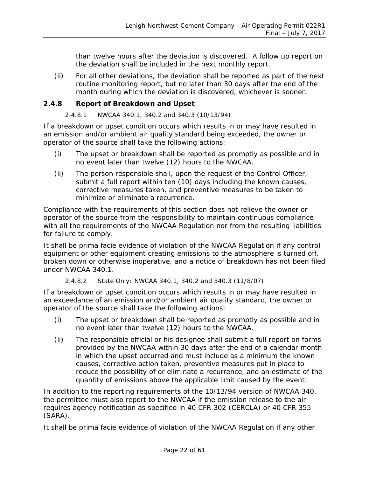than twelve hours after the deviation is discovered. A follow up report on the deviation shall be included in the next monthly report.

(ii) For all other deviations, the deviation shall be reported as part of the next routine monitoring report, but no later than 30 days after the end of the month during which the deviation is discovered, whichever is sooner.

#### **2.4.8 Report of Breakdown and Upset**

#### *2.4.8.1 NWCAA 340.1, 340.2 and 340.3 (10/13/94)*

If a breakdown or upset condition occurs which results in or may have resulted in an emission and/or ambient air quality standard being exceeded, the owner or operator of the source shall take the following actions:

- (i) The upset or breakdown shall be reported as promptly as possible and in no event later than twelve (12) hours to the NWCAA.
- (ii) The person responsible shall, upon the request of the Control Officer, submit a full report within ten (10) days including the known causes, corrective measures taken, and preventive measures to be taken to minimize or eliminate a recurrence.

Compliance with the requirements of this section does not relieve the owner or operator of the source from the responsibility to maintain continuous compliance with all the requirements of the NWCAA Regulation nor from the resulting liabilities for failure to comply.

It shall be prima facie evidence of violation of the NWCAA Regulation if any control equipment or other equipment creating emissions to the atmosphere is turned off, broken down or otherwise inoperative, and a notice of breakdown has not been filed under NWCAA 340.1.

#### *2.4.8.2 State Only: NWCAA 340.1, 340.2 and 340.3 (11/8/07)*

If a breakdown or upset condition occurs which results in or may have resulted in an exceedance of an emission and/or ambient air quality standard, the owner or operator of the source shall take the following actions:

- (i) The upset or breakdown shall be reported as promptly as possible and in no event later than twelve (12) hours to the NWCAA.
- (ii) The responsible official or his designee shall submit a full report on forms provided by the NWCAA within 30 days after the end of a calendar month in which the upset occurred and must include as a minimum the known causes, corrective action taken, preventive measures put in place to reduce the possibility of or eliminate a recurrence, and an estimate of the quantity of emissions above the applicable limit caused by the event.

In addition to the reporting requirements of the 10/13/94 version of NWCAA 340, the permittee must also report to the NWCAA if the emission release to the air requires agency notification as specified in 40 CFR 302 (CERCLA) or 40 CFR 355 (SARA).

It shall be prima facie evidence of violation of the NWCAA Regulation if any other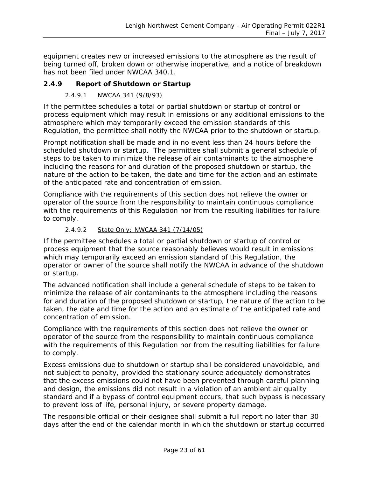equipment creates new or increased emissions to the atmosphere as the result of being turned off, broken down or otherwise inoperative, and a notice of breakdown has not been filed under NWCAA 340.1.

#### **2.4.9 Report of Shutdown or Startup**

#### *2.4.9.1 NWCAA 341 (9/8/93)*

If the permittee schedules a total or partial shutdown or startup of control or process equipment which may result in emissions or any additional emissions to the atmosphere which may temporarily exceed the emission standards of this Regulation, the permittee shall notify the NWCAA prior to the shutdown or startup.

Prompt notification shall be made and in no event less than 24 hours before the scheduled shutdown or startup. The permittee shall submit a general schedule of steps to be taken to minimize the release of air contaminants to the atmosphere including the reasons for and duration of the proposed shutdown or startup, the nature of the action to be taken, the date and time for the action and an estimate of the anticipated rate and concentration of emission.

Compliance with the requirements of this section does not relieve the owner or operator of the source from the responsibility to maintain continuous compliance with the requirements of this Regulation nor from the resulting liabilities for failure to comply.

#### *2.4.9.2 State Only: NWCAA 341 (7/14/05)*

If the permittee schedules a total or partial shutdown or startup of control or process equipment that the source reasonably believes would result in emissions which may temporarily exceed an emission standard of this Regulation, the operator or owner of the source shall notify the NWCAA in advance of the shutdown or startup.

The advanced notification shall include a general schedule of steps to be taken to minimize the release of air contaminants to the atmosphere including the reasons for and duration of the proposed shutdown or startup, the nature of the action to be taken, the date and time for the action and an estimate of the anticipated rate and concentration of emission.

Compliance with the requirements of this section does not relieve the owner or operator of the source from the responsibility to maintain continuous compliance with the requirements of this Regulation nor from the resulting liabilities for failure to comply.

Excess emissions due to shutdown or startup shall be considered unavoidable, and not subject to penalty, provided the stationary source adequately demonstrates that the excess emissions could not have been prevented through careful planning and design, the emissions did not result in a violation of an ambient air quality standard and if a bypass of control equipment occurs, that such bypass is necessary to prevent loss of life, personal injury, or severe property damage.

The responsible official or their designee shall submit a full report no later than 30 days after the end of the calendar month in which the shutdown or startup occurred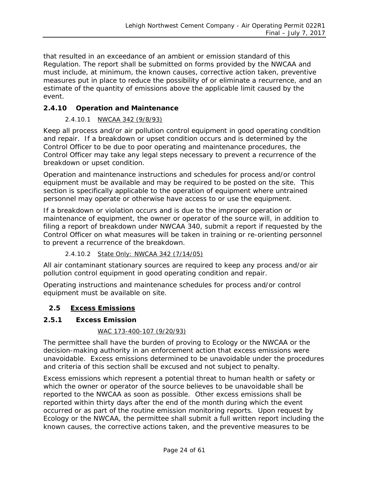that resulted in an exceedance of an ambient or emission standard of this Regulation. The report shall be submitted on forms provided by the NWCAA and must include, at minimum, the known causes, corrective action taken, preventive measures put in place to reduce the possibility of or eliminate a recurrence, and an estimate of the quantity of emissions above the applicable limit caused by the event.

#### **2.4.10 Operation and Maintenance**

#### *2.4.10.1 NWCAA 342 (9/8/93)*

Keep all process and/or air pollution control equipment in good operating condition and repair. If a breakdown or upset condition occurs and is determined by the Control Officer to be due to poor operating and maintenance procedures, the Control Officer may take any legal steps necessary to prevent a recurrence of the breakdown or upset condition.

Operation and maintenance instructions and schedules for process and/or control equipment must be available and may be required to be posted on the site. This section is specifically applicable to the operation of equipment where untrained personnel may operate or otherwise have access to or use the equipment.

If a breakdown or violation occurs and is due to the improper operation or maintenance of equipment, the owner or operator of the source will, in addition to filing a report of breakdown under NWCAA 340, submit a report if requested by the Control Officer on what measures will be taken in training or re-orienting personnel to prevent a recurrence of the breakdown.

#### *2.4.10.2 State Only: NWCAA 342 (7/14/05)*

All air contaminant stationary sources are required to keep any process and/or air pollution control equipment in good operating condition and repair.

Operating instructions and maintenance schedules for process and/or control equipment must be available on site.

#### <span id="page-23-0"></span>**2.5 Excess Emissions**

#### **2.5.1 Excess Emission**

#### *WAC 173-400-107 (9/20/93)*

The permittee shall have the burden of proving to Ecology or the NWCAA or the decision-making authority in an enforcement action that excess emissions were unavoidable. Excess emissions determined to be unavoidable under the procedures and criteria of this section shall be excused and not subject to penalty.

Excess emissions which represent a potential threat to human health or safety or which the owner or operator of the source believes to be unavoidable shall be reported to the NWCAA as soon as possible. Other excess emissions shall be reported within thirty days after the end of the month during which the event occurred or as part of the routine emission monitoring reports. Upon request by Ecology or the NWCAA, the permittee shall submit a full written report including the known causes, the corrective actions taken, and the preventive measures to be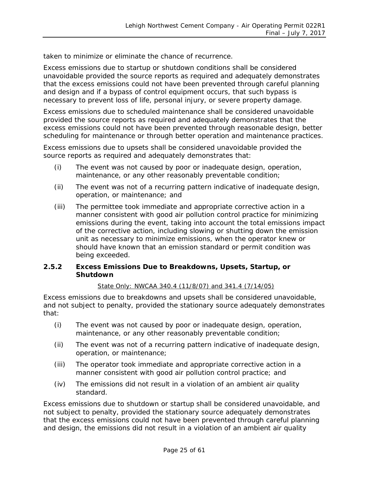taken to minimize or eliminate the chance of recurrence.

Excess emissions due to startup or shutdown conditions shall be considered unavoidable provided the source reports as required and adequately demonstrates that the excess emissions could not have been prevented through careful planning and design and if a bypass of control equipment occurs, that such bypass is necessary to prevent loss of life, personal injury, or severe property damage.

Excess emissions due to scheduled maintenance shall be considered unavoidable provided the source reports as required and adequately demonstrates that the excess emissions could not have been prevented through reasonable design, better scheduling for maintenance or through better operation and maintenance practices.

Excess emissions due to upsets shall be considered unavoidable provided the source reports as required and adequately demonstrates that:

- (i) The event was not caused by poor or inadequate design, operation, maintenance, or any other reasonably preventable condition;
- (ii) The event was not of a recurring pattern indicative of inadequate design, operation, or maintenance; and
- (iii) The permittee took immediate and appropriate corrective action in a manner consistent with good air pollution control practice for minimizing emissions during the event, taking into account the total emissions impact of the corrective action, including slowing or shutting down the emission unit as necessary to minimize emissions, when the operator knew or should have known that an emission standard or permit condition was being exceeded.

#### **2.5.2 Excess Emissions Due to Breakdowns, Upsets, Startup, or Shutdown**

#### *State Only: NWCAA 340.4 (11/8/07) and 341.4 (7/14/05)*

Excess emissions due to breakdowns and upsets shall be considered unavoidable, and not subject to penalty, provided the stationary source adequately demonstrates that:

- (i) The event was not caused by poor or inadequate design, operation, maintenance, or any other reasonably preventable condition;
- (ii) The event was not of a recurring pattern indicative of inadequate design, operation, or maintenance;
- (iii) The operator took immediate and appropriate corrective action in a manner consistent with good air pollution control practice; and
- (iv) The emissions did not result in a violation of an ambient air quality standard.

Excess emissions due to shutdown or startup shall be considered unavoidable, and not subject to penalty, provided the stationary source adequately demonstrates that the excess emissions could not have been prevented through careful planning and design, the emissions did not result in a violation of an ambient air quality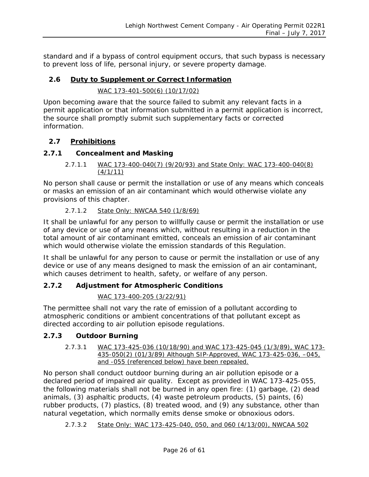standard and if a bypass of control equipment occurs, that such bypass is necessary to prevent loss of life, personal injury, or severe property damage.

#### <span id="page-25-0"></span>**2.6 Duty to Supplement or Correct Information**

#### *WAC 173-401-500(6) (10/17/02)*

Upon becoming aware that the source failed to submit any relevant facts in a permit application or that information submitted in a permit application is incorrect, the source shall promptly submit such supplementary facts or corrected information.

#### <span id="page-25-1"></span>**2.7 Prohibitions**

#### **2.7.1 Concealment and Masking**

#### *2.7.1.1 WAC 173-400-040(7) (9/20/93) and State Only: WAC 173-400-040(8) (4/1/11)*

No person shall cause or permit the installation or use of any means which conceals or masks an emission of an air contaminant which would otherwise violate any provisions of this chapter.

#### *2.7.1.2 State Only: NWCAA 540 (1/8/69)*

It shall be unlawful for any person to willfully cause or permit the installation or use of any device or use of any means which, without resulting in a reduction in the total amount of air contaminant emitted, conceals an emission of air contaminant which would otherwise violate the emission standards of this Regulation.

It shall be unlawful for any person to cause or permit the installation or use of any device or use of any means designed to mask the emission of an air contaminant, which causes detriment to health, safety, or welfare of any person.

#### **2.7.2 Adjustment for Atmospheric Conditions**

#### *WAC 173-400-205 (3/22/91)*

The permittee shall not vary the rate of emission of a pollutant according to atmospheric conditions or ambient concentrations of that pollutant except as directed according to air pollution episode regulations.

#### **2.7.3 Outdoor Burning**

*2.7.3.1 WAC 173-425-036 (10/18/90) and WAC 173-425-045 (1/3/89), WAC 173- 435-050(2) (01/3/89) Although SIP-Approved, WAC 173-425-036, –045, and -055 (referenced below) have been repealed.*

No person shall conduct outdoor burning during an air pollution episode or a declared period of impaired air quality. Except as provided in WAC 173-425-055, the following materials shall not be burned in any open fire: (1) garbage, (2) dead animals, (3) asphaltic products, (4) waste petroleum products, (5) paints, (6) rubber products, (7) plastics, (8) treated wood, and (9) any substance, other than natural vegetation, which normally emits dense smoke or obnoxious odors.

*2.7.3.2 State Only: WAC 173-425-040, 050, and 060 (4/13/00), NWCAA 502*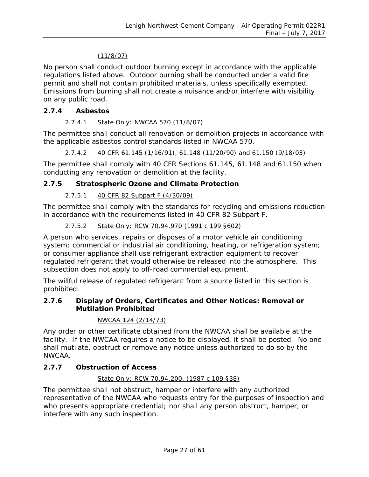#### *(11/8/07)*

No person shall conduct outdoor burning except in accordance with the applicable regulations listed above. Outdoor burning shall be conducted under a valid fire permit and shall not contain prohibited materials, unless specifically exempted. Emissions from burning shall not create a nuisance and/or interfere with visibility on any public road.

#### **2.7.4 Asbestos**

#### *2.7.4.1 State Only: NWCAA 570 (11/8/07)*

The permittee shall conduct all renovation or demolition projects in accordance with the applicable asbestos control standards listed in NWCAA 570.

*2.7.4.2 40 CFR 61.145 (1/16/91), 61.148 (11/20/90) and 61.150 (9/18/03)*

The permittee shall comply with 40 CFR Sections 61.145, 61.148 and 61.150 when conducting any renovation or demolition at the facility.

#### **2.7.5 Stratospheric Ozone and Climate Protection**

#### *2.7.5.1 40 CFR 82 Subpart F (4/30/09)*

The permittee shall comply with the standards for recycling and emissions reduction in accordance with the requirements listed in 40 CFR 82 Subpart F.

#### *2.7.5.2 State Only: RCW 70.94.970 (1991 c 199 §602)*

A person who services, repairs or disposes of a motor vehicle air conditioning system; commercial or industrial air conditioning, heating, or refrigeration system; or consumer appliance shall use refrigerant extraction equipment to recover regulated refrigerant that would otherwise be released into the atmosphere. This subsection does not apply to off-road commercial equipment.

The willful release of regulated refrigerant from a source listed in this section is prohibited.

#### **2.7.6 Display of Orders, Certificates and Other Notices: Removal or Mutilation Prohibited**

#### *NWCAA 124 (2/14/73)*

Any order or other certificate obtained from the NWCAA shall be available at the facility. If the NWCAA requires a notice to be displayed, it shall be posted. No one shall mutilate, obstruct or remove any notice unless authorized to do so by the NWCAA.

#### **2.7.7 Obstruction of Access**

#### *State Only: RCW 70.94.200, (1987 c 109 §38)*

The permittee shall not obstruct, hamper or interfere with any authorized representative of the NWCAA who requests entry for the purposes of inspection and who presents appropriate credential; nor shall any person obstruct, hamper, or interfere with any such inspection.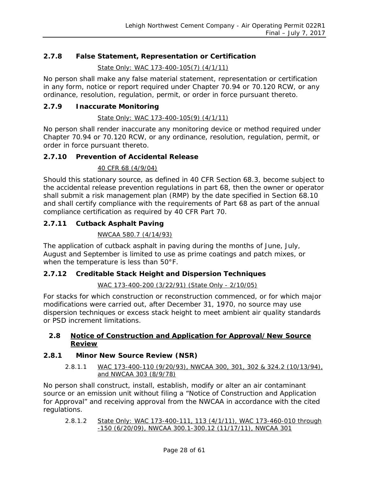#### **2.7.8 False Statement, Representation or Certification**

*State Only: WAC 173-400-105(7) (4/1/11)*

No person shall make any false material statement, representation or certification in any form, notice or report required under Chapter 70.94 or 70.120 RCW, or any ordinance, resolution, regulation, permit, or order in force pursuant thereto.

#### **2.7.9 Inaccurate Monitoring**

#### *State Only: WAC 173-400-105(9) (4/1/11)*

No person shall render inaccurate any monitoring device or method required under Chapter 70.94 or 70.120 RCW, or any ordinance, resolution, regulation, permit, or order in force pursuant thereto.

#### **2.7.10 Prevention of Accidental Release**

#### *40 CFR 68 (4/9/04)*

Should this stationary source, as defined in 40 CFR Section 68.3, become subject to the accidental release prevention regulations in part 68, then the owner or operator shall submit a risk management plan (RMP) by the date specified in Section 68.10 and shall certify compliance with the requirements of Part 68 as part of the annual compliance certification as required by 40 CFR Part 70.

#### **2.7.11 Cutback Asphalt Paving**

#### *NWCAA 580.7 (4/14/93)*

The application of cutback asphalt in paving during the months of June, July, August and September is limited to use as prime coatings and patch mixes, or when the temperature is less than 50°F.

#### **2.7.12 Creditable Stack Height and Dispersion Techniques**

#### *WAC 173-400-200 (3/22/91) (State Only - 2/10/05)*

For stacks for which construction or reconstruction commenced, or for which major modifications were carried out, after December 31, 1970, no source may use dispersion techniques or excess stack height to meet ambient air quality standards or PSD increment limitations.

#### <span id="page-27-0"></span>**2.8 Notice of Construction and Application for Approval/New Source Review**

#### **2.8.1 Minor New Source Review (NSR)**

*2.8.1.1 WAC 173-400-110 (9/20/93), NWCAA 300, 301, 302 & 324.2 (10/13/94), and NWCAA 303 (8/9/78)*

No person shall construct, install, establish, modify or alter an air contaminant source or an emission unit without filing a "Notice of Construction and Application for Approval" and receiving approval from the NWCAA in accordance with the cited regulations.

*2.8.1.2 State Only: WAC 173-400-111, 113 (4/1/11), WAC 173-460-010 through -150 (6/20/09), NWCAA 300.1-300.12 (11/17/11), NWCAA 301*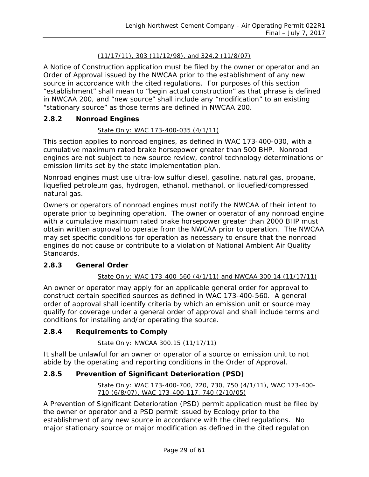#### *(11/17/11), 303 (11/12/98), and 324.2 (11/8/07)*

A Notice of Construction application must be filed by the owner or operator and an Order of Approval issued by the NWCAA prior to the establishment of any new source in accordance with the cited regulations. For purposes of this section "establishment" shall mean to "begin actual construction" as that phrase is defined in NWCAA 200, and "new source" shall include any "modification" to an existing "stationary source" as those terms are defined in NWCAA 200.

#### **2.8.2 Nonroad Engines**

#### *State Only: WAC 173-400-035 (4/1/11)*

This section applies to nonroad engines, as defined in WAC 173-400-030, with a cumulative maximum rated brake horsepower greater than 500 BHP. Nonroad engines are not subject to new source review, control technology determinations or emission limits set by the state implementation plan.

Nonroad engines must use ultra-low sulfur diesel, gasoline, natural gas, propane, liquefied petroleum gas, hydrogen, ethanol, methanol, or liquefied/compressed natural gas.

Owners or operators of nonroad engines must notify the NWCAA of their intent to operate prior to beginning operation. The owner or operator of any nonroad engine with a cumulative maximum rated brake horsepower greater than 2000 BHP must obtain written approval to operate from the NWCAA prior to operation. The NWCAA may set specific conditions for operation as necessary to ensure that the nonroad engines do not cause or contribute to a violation of National Ambient Air Quality Standards.

#### **2.8.3 General Order**

#### *State Only: WAC 173-400-560 (4/1/11) and NWCAA 300.14 (11/17/11)*

An owner or operator may apply for an applicable general order for approval to construct certain specified sources as defined in WAC 173-400-560. A general order of approval shall identify criteria by which an emission unit or source may qualify for coverage under a general order of approval and shall include terms and conditions for installing and/or operating the source.

#### **2.8.4 Requirements to Comply**

#### *State Only: NWCAA 300.15 (11/17/11)*

It shall be unlawful for an owner or operator of a source or emission unit to not abide by the operating and reporting conditions in the Order of Approval.

#### **2.8.5 Prevention of Significant Deterioration (PSD)**

#### *State Only: WAC 173-400-700, 720, 730, 750 (4/1/11), WAC 173-400- 710 (6/8/07), WAC 173-400-117, 740 (2/10/05)*

A Prevention of Significant Deterioration (PSD) permit application must be filed by the owner or operator and a PSD permit issued by Ecology prior to the establishment of any new source in accordance with the cited regulations. No major stationary source or major modification as defined in the cited regulation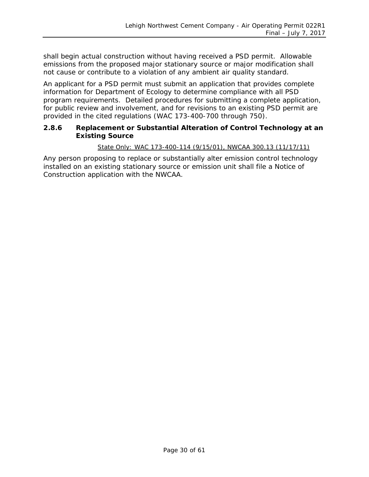shall begin actual construction without having received a PSD permit. Allowable emissions from the proposed major stationary source or major modification shall not cause or contribute to a violation of any ambient air quality standard.

An applicant for a PSD permit must submit an application that provides complete information for Department of Ecology to determine compliance with all PSD program requirements. Detailed procedures for submitting a complete application, for public review and involvement, and for revisions to an existing PSD permit are provided in the cited regulations (WAC 173-400-700 through 750).

#### **2.8.6 Replacement or Substantial Alteration of Control Technology at an Existing Source**

#### *State Only: WAC 173-400-114 (9/15/01), NWCAA 300.13 (11/17/11)*

Any person proposing to replace or substantially alter emission control technology installed on an existing stationary source or emission unit shall file a Notice of Construction application with the NWCAA.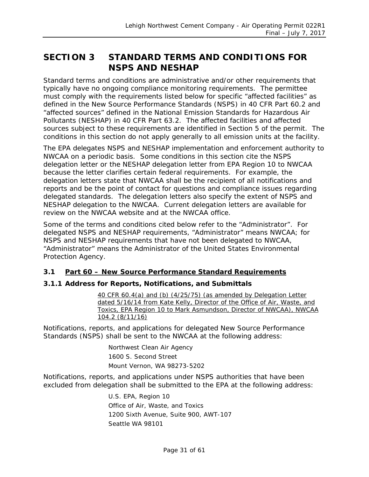# <span id="page-30-0"></span>**SECTION 3 STANDARD TERMS AND CONDITIONS FOR NSPS AND NESHAP**

Standard terms and conditions are administrative and/or other requirements that typically have no ongoing compliance monitoring requirements. The permittee must comply with the requirements listed below for specific "affected facilities" as defined in the New Source Performance Standards (NSPS) in 40 CFR Part 60.2 and "affected sources" defined in the National Emission Standards for Hazardous Air Pollutants (NESHAP) in 40 CFR Part 63.2. The affected facilities and affected sources subject to these requirements are identified in Section 5 of the permit. The conditions in this section do not apply generally to all emission units at the facility.

The EPA delegates NSPS and NESHAP implementation and enforcement authority to NWCAA on a periodic basis. Some conditions in this section cite the NSPS delegation letter or the NESHAP delegation letter from EPA Region 10 to NWCAA because the letter clarifies certain federal requirements. For example, the delegation letters state that NWCAA shall be the recipient of all notifications and reports and be the point of contact for questions and compliance issues regarding delegated standards. The delegation letters also specify the extent of NSPS and NESHAP delegation to the NWCAA. Current delegation letters are available for review on the NWCAA website and at the NWCAA office.

Some of the terms and conditions cited below refer to the "Administrator". For delegated NSPS and NESHAP requirements, "Administrator" means NWCAA; for NSPS and NESHAP requirements that have not been delegated to NWCAA, "Administrator" means the Administrator of the United States Environmental Protection Agency.

#### <span id="page-30-1"></span>**3.1 Part 60 – New Source Performance Standard Requirements**

#### **3.1.1 Address for Reports, Notifications, and Submittals**

*40 CFR 60.4(a) and (b) (4/25/75) (as amended by Delegation Letter dated 5/16/14 from Kate Kelly, Director of the Office of Air, Waste, and Toxics, EPA Region 10 to Mark Asmundson, Director of NWCAA), NWCAA 104.2 (8/11/16)*

Notifications, reports, and applications for delegated New Source Performance Standards (NSPS) shall be sent to the NWCAA at the following address:

> Northwest Clean Air Agency 1600 S. Second Street Mount Vernon, WA 98273-5202

Notifications, reports, and applications under NSPS authorities that have been excluded from delegation shall be submitted to the EPA at the following address*:*

> U.S. EPA, Region 10 Office of Air, Waste, and Toxics 1200 Sixth Avenue, Suite 900, AWT-107 Seattle WA 98101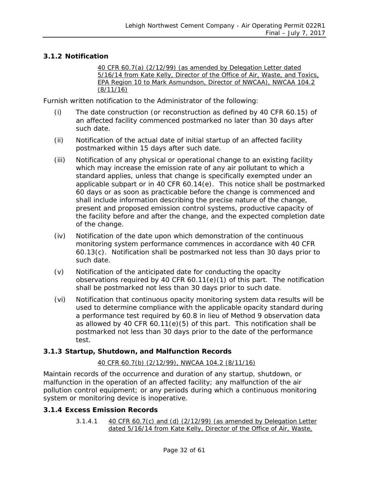#### **3.1.2 Notification**

*40 CFR 60.7(a) (2/12/99) (as amended by Delegation Letter dated 5/16/14 from Kate Kelly, Director of the Office of Air, Waste, and Toxics, EPA Region 10 to Mark Asmundson, Director of NWCAA), NWCAA 104.2 (8/11/16)*

Furnish written notification to the Administrator of the following:

- (i) The date construction (or reconstruction as defined by 40 CFR 60.15) of an affected facility commenced postmarked no later than 30 days after such date.
- (ii) Notification of the actual date of initial startup of an affected facility postmarked within 15 days after such date.
- (iii) Notification of any physical or operational change to an existing facility which may increase the emission rate of any air pollutant to which a standard applies, unless that change is specifically exempted under an applicable subpart or in 40 CFR 60.14(e). This notice shall be postmarked 60 days or as soon as practicable before the change is commenced and shall include information describing the precise nature of the change, present and proposed emission control systems, productive capacity of the facility before and after the change, and the expected completion date of the change.
- (iv) Notification of the date upon which demonstration of the continuous monitoring system performance commences in accordance with 40 CFR 60.13(c). Notification shall be postmarked not less than 30 days prior to such date.
- (v) Notification of the anticipated date for conducting the opacity observations required by 40 CFR 60.11(e)(1) of this part. The notification shall be postmarked not less than 30 days prior to such date.
- (vi) Notification that continuous opacity monitoring system data results will be used to determine compliance with the applicable opacity standard during a performance test required by 60.8 in lieu of Method 9 observation data as allowed by 40 CFR 60.11(e)(5) of this part. This notification shall be postmarked not less than 30 days prior to the date of the performance test.

#### **3.1.3 Startup, Shutdown, and Malfunction Records**

#### *40 CFR 60.7(b) (2/12/99), NWCAA 104.2 (8/11/16)*

Maintain records of the occurrence and duration of any startup, shutdown, or malfunction in the operation of an affected facility; any malfunction of the air pollution control equipment; or any periods during which a continuous monitoring system or monitoring device is inoperative.

#### **3.1.4 Excess Emission Records**

*3.1.4.1 40 CFR 60.7(c) and (d) (2/12/99) (as amended by Delegation Letter dated 5/16/14 from Kate Kelly, Director of the Office of Air, Waste,*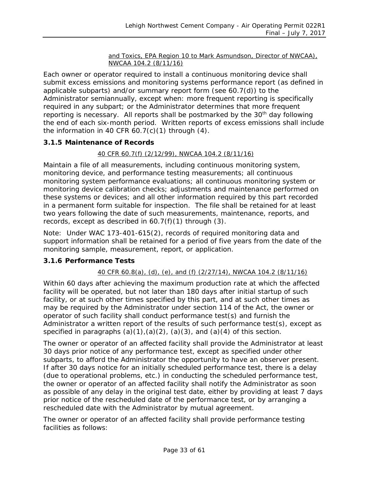#### *and Toxics, EPA Region 10 to Mark Asmundson, Director of NWCAA), NWCAA 104.2 (8/11/16)*

Each owner or operator required to install a continuous monitoring device shall submit excess emissions and monitoring systems performance report (as defined in applicable subparts) and/or summary report form (see 60.7(d)) to the Administrator semiannually, except when: more frequent reporting is specifically required in any subpart; or the Administrator determines that more frequent reporting is necessary. All reports shall be postmarked by the 30<sup>th</sup> day following the end of each six-month period. Written reports of excess emissions shall include the information in 40 CFR  $60.7(c)(1)$  through  $(4)$ .

#### **3.1.5 Maintenance of Records**

#### *40 CFR 60.7(f) (2/12/99), NWCAA 104.2 (8/11/16)*

Maintain a file of all measurements, including continuous monitoring system, monitoring device, and performance testing measurements; all continuous monitoring system performance evaluations; all continuous monitoring system or monitoring device calibration checks; adjustments and maintenance performed on these systems or devices; and all other information required by this part recorded in a permanent form suitable for inspection. The file shall be retained for at least two years following the date of such measurements, maintenance, reports, and records, except as described in  $60.7(f)(1)$  through  $(3)$ .

Note: Under WAC 173-401-615(2), records of required monitoring data and support information shall be retained for a period of five years from the date of the monitoring sample, measurement, report, or application.

#### **3.1.6 Performance Tests**

#### *40 CFR 60.8(a), (d), (e), and (f) (2/27/14), NWCAA 104.2 (8/11/16)*

Within 60 days after achieving the maximum production rate at which the affected facility will be operated, but not later than 180 days after initial startup of such facility, or at such other times specified by this part, and at such other times as may be required by the Administrator under section 114 of the Act, the owner or operator of such facility shall conduct performance test(s) and furnish the Administrator a written report of the results of such performance test(s), except as specified in paragraphs  $(a)(1),(a)(2),(a)(3)$ , and  $(a)(4)$  of this section.

The owner or operator of an affected facility shall provide the Administrator at least 30 days prior notice of any performance test, except as specified under other subparts, to afford the Administrator the opportunity to have an observer present. If after 30 days notice for an initially scheduled performance test, there is a delay (due to operational problems, etc.) in conducting the scheduled performance test, the owner or operator of an affected facility shall notify the Administrator as soon as possible of any delay in the original test date, either by providing at least 7 days prior notice of the rescheduled date of the performance test, or by arranging a rescheduled date with the Administrator by mutual agreement.

The owner or operator of an affected facility shall provide performance testing facilities as follows: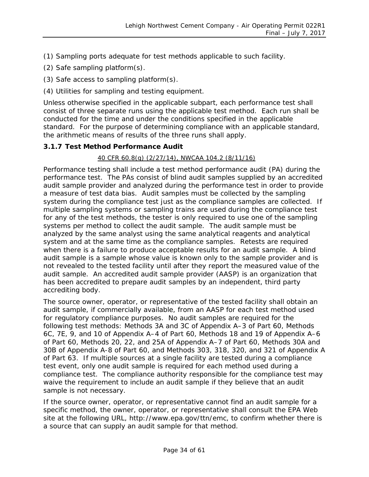- (1) Sampling ports adequate for test methods applicable to such facility.
- (2) Safe sampling platform(s).
- (3) Safe access to sampling platform(s).
- (4) Utilities for sampling and testing equipment.

Unless otherwise specified in the applicable subpart, each performance test shall consist of three separate runs using the applicable test method. Each run shall be conducted for the time and under the conditions specified in the applicable standard. For the purpose of determining compliance with an applicable standard, the arithmetic means of results of the three runs shall apply.

#### **3.1.7 Test Method Performance Audit**

#### *40 CFR 60.8(g) (2/27/14), NWCAA 104.2 (8/11/16)*

Performance testing shall include a test method performance audit (PA) during the performance test. The PAs consist of blind audit samples supplied by an accredited audit sample provider and analyzed during the performance test in order to provide a measure of test data bias. Audit samples must be collected by the sampling system during the compliance test just as the compliance samples are collected. If multiple sampling systems or sampling trains are used during the compliance test for any of the test methods, the tester is only required to use one of the sampling systems per method to collect the audit sample. The audit sample must be analyzed by the same analyst using the same analytical reagents and analytical system and at the same time as the compliance samples. Retests are required when there is a failure to produce acceptable results for an audit sample. A blind audit sample is a sample whose value is known only to the sample provider and is not revealed to the tested facility until after they report the measured value of the audit sample. An accredited audit sample provider (AASP) is an organization that has been accredited to prepare audit samples by an independent, third party accrediting body.

The source owner, operator, or representative of the tested facility shall obtain an audit sample, if commercially available, from an AASP for each test method used for regulatory compliance purposes. No audit samples are required for the following test methods: Methods 3A and 3C of Appendix A–3 of Part 60, Methods 6C, 7E, 9, and 10 of Appendix A–4 of Part 60, Methods 18 and 19 of Appendix A–6 of Part 60, Methods 20, 22, and 25A of Appendix A–7 of Part 60, Methods 30A and 30B of Appendix A-8 of Part 60, and Methods 303, 318, 320, and 321 of Appendix A of Part 63. If multiple sources at a single facility are tested during a compliance test event, only one audit sample is required for each method used during a compliance test. The compliance authority responsible for the compliance test may waive the requirement to include an audit sample if they believe that an audit sample is not necessary.

If the source owner, operator, or representative cannot find an audit sample for a specific method, the owner, operator, or representative shall consult the EPA Web site at the following URL, http://www.epa.gov/ttn/emc, to confirm whether there is a source that can supply an audit sample for that method.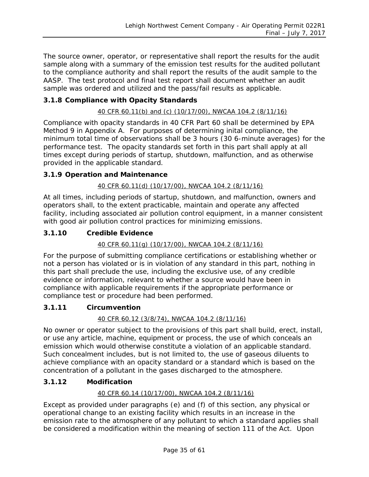The source owner, operator, or representative shall report the results for the audit sample along with a summary of the emission test results for the audited pollutant to the compliance authority and shall report the results of the audit sample to the AASP. The test protocol and final test report shall document whether an audit sample was ordered and utilized and the pass/fail results as applicable.

#### **3.1.8 Compliance with Opacity Standards**

#### *40 CFR 60.11(b) and (c) (10/17/00), NWCAA 104.2 (8/11/16)*

Compliance with opacity standards in 40 CFR Part 60 shall be determined by EPA Method 9 in Appendix A. For purposes of determining inital compliance, the minimum total time of observations shall be 3 hours (30 6-minute averages) for the performance test. The opacity standards set forth in this part shall apply at all times except during periods of startup, shutdown, malfunction, and as otherwise provided in the applicable standard.

#### **3.1.9 Operation and Maintenance**

#### *40 CFR 60.11(d) (10/17/00), NWCAA 104.2 (8/11/16)*

At all times, including periods of startup, shutdown, and malfunction, owners and operators shall, to the extent practicable, maintain and operate any affected facility, including associated air pollution control equipment, in a manner consistent with good air pollution control practices for minimizing emissions.

#### **3.1.10 Credible Evidence**

#### *40 CFR 60.11(g) (10/17/00), NWCAA 104.2 (8/11/16)*

For the purpose of submitting compliance certifications or establishing whether or not a person has violated or is in violation of any standard in this part, nothing in this part shall preclude the use, including the exclusive use, of any credible evidence or information, relevant to whether a source would have been in compliance with applicable requirements if the appropriate performance or compliance test or procedure had been performed.

#### **3.1.11 Circumvention**

#### *40 CFR 60.12 (3/8/74), NWCAA 104.2 (8/11/16)*

No owner or operator subject to the provisions of this part shall build, erect, install, or use any article, machine, equipment or process, the use of which conceals an emission which would otherwise constitute a violation of an applicable standard. Such concealment includes, but is not limited to, the use of gaseous diluents to achieve compliance with an opacity standard or a standard which is based on the concentration of a pollutant in the gases discharged to the atmosphere.

#### **3.1.12 Modification**

#### *40 CFR 60.14 (10/17/00), NWCAA 104.2 (8/11/16)*

Except as provided under paragraphs (e) and (f) of this section, any physical or operational change to an existing facility which results in an increase in the emission rate to the atmosphere of any pollutant to which a standard applies shall be considered a modification within the meaning of section 111 of the Act. Upon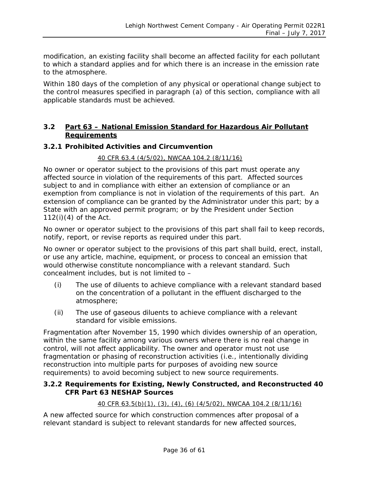modification, an existing facility shall become an affected facility for each pollutant to which a standard applies and for which there is an increase in the emission rate to the atmosphere.

Within 180 days of the completion of any physical or operational change subject to the control measures specified in paragraph (a) of this section, compliance with all applicable standards must be achieved.

#### <span id="page-35-0"></span>**3.2 Part 63 – National Emission Standard for Hazardous Air Pollutant Requirements**

#### **3.2.1 Prohibited Activities and Circumvention**

#### *40 CFR 63.4 (4/5/02), NWCAA 104.2 (8/11/16)*

No owner or operator subject to the provisions of this part must operate any affected source in violation of the requirements of this part. Affected sources subject to and in compliance with either an extension of compliance or an exemption from compliance is not in violation of the requirements of this part. An extension of compliance can be granted by the Administrator under this part; by a State with an approved permit program; or by the President under Section  $112(i)(4)$  of the Act.

No owner or operator subject to the provisions of this part shall fail to keep records, notify, report, or revise reports as required under this part.

No owner or operator subject to the provisions of this part shall build, erect, install, or use any article, machine, equipment, or process to conceal an emission that would otherwise constitute noncompliance with a relevant standard. Such concealment includes, but is not limited to –

- (i) The use of diluents to achieve compliance with a relevant standard based on the concentration of a pollutant in the effluent discharged to the atmosphere;
- (ii) The use of gaseous diluents to achieve compliance with a relevant standard for visible emissions.

Fragmentation after November 15, 1990 which divides ownership of an operation, within the same facility among various owners where there is no real change in control, will not affect applicability. The owner and operator must not use fragmentation or phasing of reconstruction activities (i.e., intentionally dividing reconstruction into multiple parts for purposes of avoiding new source requirements) to avoid becoming subject to new source requirements.

#### **3.2.2 Requirements for Existing, Newly Constructed, and Reconstructed 40 CFR Part 63 NESHAP Sources**

#### *40 CFR 63.5(b)(1), (3), (4), (6) (4/5/02), NWCAA 104.2 (8/11/16)*

A new affected source for which construction commences after proposal of a relevant standard is subject to relevant standards for new affected sources,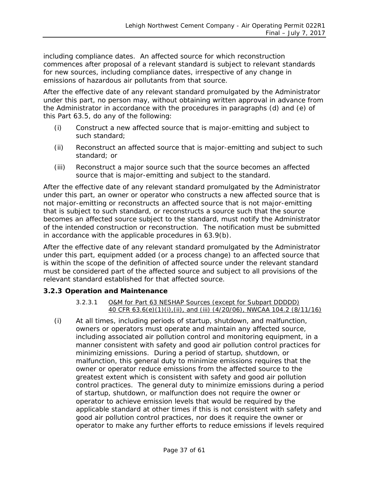including compliance dates. An affected source for which reconstruction commences after proposal of a relevant standard is subject to relevant standards for new sources, including compliance dates, irrespective of any change in emissions of hazardous air pollutants from that source.

After the effective date of any relevant standard promulgated by the Administrator under this part, no person may, without obtaining written approval in advance from the Administrator in accordance with the procedures in paragraphs (d) and (e) of this Part 63.5, do any of the following:

- (i) Construct a new affected source that is major-emitting and subject to such standard;
- (ii) Reconstruct an affected source that is major-emitting and subject to such standard; or
- (iii) Reconstruct a major source such that the source becomes an affected source that is major-emitting and subject to the standard.

After the effective date of any relevant standard promulgated by the Administrator under this part, an owner or operator who constructs a new affected source that is not major-emitting or reconstructs an affected source that is not major-emitting that is subject to such standard, or reconstructs a source such that the source becomes an affected source subject to the standard, must notify the Administrator of the intended construction or reconstruction. The notification must be submitted in accordance with the applicable procedures in 63.9(b).

After the effective date of any relevant standard promulgated by the Administrator under this part, equipment added (or a process change) to an affected source that is within the scope of the definition of affected source under the relevant standard must be considered part of the affected source and subject to all provisions of the relevant standard established for that affected source.

#### **3.2.3 Operation and Maintenance**

#### *3.2.3.1 O&M for Part 63 NESHAP Sources (except for Subpart DDDDD) 40 CFR 63.6(e)(1)(i),(ii), and (iii) (4/20/06), NWCAA 104.2 (8/11/16)*

(i) At all times, including periods of startup, shutdown, and malfunction, owners or operators must operate and maintain any affected source, including associated air pollution control and monitoring equipment, in a manner consistent with safety and good air pollution control practices for minimizing emissions. During a period of startup, shutdown, or malfunction, this general duty to minimize emissions requires that the owner or operator reduce emissions from the affected source to the greatest extent which is consistent with safety and good air pollution control practices. The general duty to minimize emissions during a period of startup, shutdown, or malfunction does not require the owner or operator to achieve emission levels that would be required by the applicable standard at other times if this is not consistent with safety and good air pollution control practices, nor does it require the owner or operator to make any further efforts to reduce emissions if levels required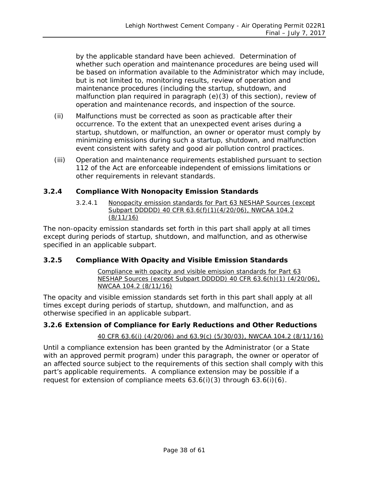by the applicable standard have been achieved. Determination of whether such operation and maintenance procedures are being used will be based on information available to the Administrator which may include, but is not limited to, monitoring results, review of operation and maintenance procedures (including the startup, shutdown, and malfunction plan required in paragraph (e)(3) of this section), review of operation and maintenance records, and inspection of the source.

- (ii) Malfunctions must be corrected as soon as practicable after their occurrence. To the extent that an unexpected event arises during a startup, shutdown, or malfunction, an owner or operator must comply by minimizing emissions during such a startup, shutdown, and malfunction event consistent with safety and good air pollution control practices.
- (iii) Operation and maintenance requirements established pursuant to section 112 of the Act are enforceable independent of emissions limitations or other requirements in relevant standards.

#### **3.2.4 Compliance With Nonopacity Emission Standards**

*3.2.4.1 Nonopacity emission standards for Part 63 NESHAP Sources (except Subpart DDDDD) 40 CFR 63.6(f)(1)(4/20/06), NWCAA 104.2 (8/11/16)*

The non-opacity emission standards set forth in this part shall apply at all times except during periods of startup, shutdown, and malfunction, and as otherwise specified in an applicable subpart.

#### **3.2.5 Compliance With Opacity and Visible Emission Standards**

*Compliance with opacity and visible emission standards for Part 63 NESHAP Sources (except Subpart DDDDD) 40 CFR 63.6(h)(1) (4/20/06), NWCAA 104.2 (8/11/16)*

The opacity and visible emission standards set forth in this part shall apply at all times except during periods of startup, shutdown, and malfunction, and as otherwise specified in an applicable subpart.

#### **3.2.6 Extension of Compliance for Early Reductions and Other Reductions**

#### *40 CFR 63.6(i) (4/20/06) and 63.9(c) (5/30/03), NWCAA 104.2 (8/11/16)*

Until a compliance extension has been granted by the Administrator (or a State with an approved permit program) under this paragraph, the owner or operator of an affected source subject to the requirements of this section shall comply with this part's applicable requirements. A compliance extension may be possible if a request for extension of compliance meets  $63.6(i)(3)$  through  $63.6(i)(6)$ .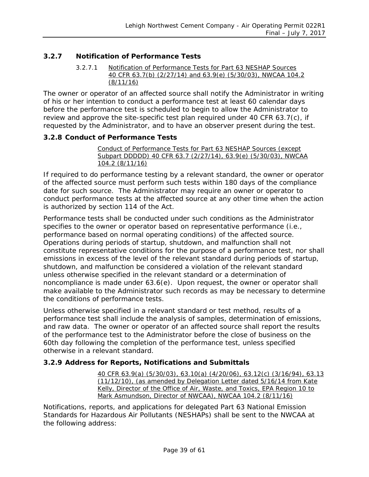#### **3.2.7 Notification of Performance Tests**

#### *3.2.7.1 Notification of Performance Tests for Part 63 NESHAP Sources 40 CFR 63.7(b) (2/27/14) and 63.9(e) (5/30/03), NWCAA 104.2 (8/11/16)*

The owner or operator of an affected source shall notify the Administrator in writing of his or her intention to conduct a performance test at least 60 calendar days before the performance test is scheduled to begin to allow the Administrator to review and approve the site-specific test plan required under 40 CFR 63.7(c), if requested by the Administrator, and to have an observer present during the test.

#### **3.2.8 Conduct of Performance Tests**

#### *Conduct of Performance Tests for Part 63 NESHAP Sources (except Subpart DDDDD) 40 CFR 63.7 (2/27/14), 63.9(e) (5/30/03), NWCAA 104.2 (8/11/16)*

If required to do performance testing by a relevant standard, the owner or operator of the affected source must perform such tests within 180 days of the compliance date for such source. The Administrator may require an owner or operator to conduct performance tests at the affected source at any other time when the action is authorized by section 114 of the Act.

Performance tests shall be conducted under such conditions as the Administrator specifies to the owner or operator based on representative performance (i.e., performance based on normal operating conditions) of the affected source. Operations during periods of startup, shutdown, and malfunction shall not constitute representative conditions for the purpose of a performance test, nor shall emissions in excess of the level of the relevant standard during periods of startup, shutdown, and malfunction be considered a violation of the relevant standard unless otherwise specified in the relevant standard or a determination of noncompliance is made under 63.6(e). Upon request, the owner or operator shall make available to the Administrator such records as may be necessary to determine the conditions of performance tests.

Unless otherwise specified in a relevant standard or test method, results of a performance test shall include the analysis of samples, determination of emissions, and raw data. The owner or operator of an affected source shall report the results of the performance test to the Administrator before the close of business on the 60th day following the completion of the performance test, unless specified otherwise in a relevant standard.

#### **3.2.9 Address for Reports, Notifications and Submittals**

*40 CFR 63.9(a) (5/30/03), 63.10(a) (4/20/06), 63.12(c) (3/16/94), 63.13 (11/12/10), (as amended by Delegation Letter dated 5/16/14 from Kate Kelly, Director of the Office of Air, Waste, and Toxics, EPA Region 10 to Mark Asmundson, Director of NWCAA), NWCAA 104.2 (8/11/16)*

Notifications, reports, and applications for delegated Part 63 National Emission Standards for Hazardous Air Pollutants (NESHAPs) shall be sent to the NWCAA at the following address: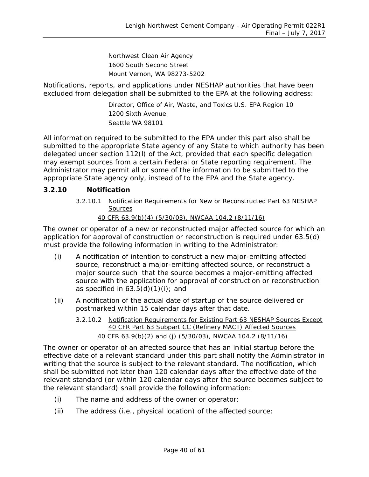Northwest Clean Air Agency 1600 South Second Street Mount Vernon, WA 98273-5202

Notifications, reports, and applications under NESHAP authorities that have been excluded from delegation shall be submitted to the EPA at the following address:

> Director, Office of Air, Waste, and Toxics U.S. EPA Region 10 1200 Sixth Avenue Seattle WA 98101

All information required to be submitted to the EPA under this part also shall be submitted to the appropriate State agency of any State to which authority has been delegated under section 112(l) of the Act, provided that each specific delegation may exempt sources from a certain Federal or State reporting requirement. The Administrator may permit all or some of the information to be submitted to the appropriate State agency only, instead of to the EPA and the State agency.

#### **3.2.10 Notification**

*3.2.10.1 Notification Requirements for New or Reconstructed Part 63 NESHAP Sources 40 CFR 63.9(b)(4) (5/30/03), NWCAA 104.2 (8/11/16)*

The owner or operator of a new or reconstructed major affected source for which an application for approval of construction or reconstruction is required under 63.5(d) must provide the following information in writing to the Administrator:

- (i) A notification of intention to construct a new major-emitting affected source, reconstruct a major-emitting affected source, or reconstruct a major source such that the source becomes a major-emitting affected source with the application for approval of construction or reconstruction as specified in  $63.5(d)(1)(i)$ ; and
- (ii) A notification of the actual date of startup of the source delivered or postmarked within 15 calendar days after that date.
	- *3.2.10.2 Notification Requirements for Existing Part 63 NESHAP Sources Except 40 CFR Part 63 Subpart CC (Refinery MACT) Affected Sources 40 CFR 63.9(b)(2) and (j) (5/30/03), NWCAA 104.2 (8/11/16)*

The owner or operator of an affected source that has an initial startup before the effective date of a relevant standard under this part shall notify the Administrator in writing that the source is subject to the relevant standard. The notification, which shall be submitted not later than 120 calendar days after the effective date of the relevant standard (or within 120 calendar days after the source becomes subject to the relevant standard) shall provide the following information:

- (i) The name and address of the owner or operator;
- (ii) The address (i.e., physical location) of the affected source;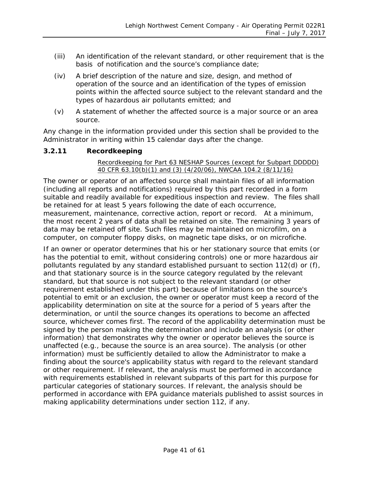- (iii) An identification of the relevant standard, or other requirement that is the basis of notification and the source's compliance date;
- (iv) A brief description of the nature and size, design, and method of operation of the source and an identification of the types of emission points within the affected source subject to the relevant standard and the types of hazardous air pollutants emitted; and
- (v) A statement of whether the affected source is a major source or an area source.

Any change in the information provided under this section shall be provided to the Administrator in writing within 15 calendar days after the change.

#### **3.2.11 Recordkeeping**

#### *Recordkeeping for Part 63 NESHAP Sources (except for Subpart DDDDD) 40 CFR 63.10(b)(1) and (3) (4/20/06), NWCAA 104.2 (8/11/16)*

The owner or operator of an affected source shall maintain files of all information (including all reports and notifications) required by this part recorded in a form suitable and readily available for expeditious inspection and review. The files shall be retained for at least 5 years following the date of each occurrence, measurement, maintenance, corrective action, report or record. At a minimum, the most recent 2 years of data shall be retained on site. The remaining 3 years of data may be retained off site. Such files may be maintained on microfilm, on a computer, on computer floppy disks, on magnetic tape disks, or on microfiche.

If an owner or operator determines that his or her stationary source that emits (or has the potential to emit, without considering controls) one or more hazardous air pollutants regulated by any standard established pursuant to section 112(d) or (f), and that stationary source is in the source category regulated by the relevant standard, but that source is not subject to the relevant standard (or other requirement established under this part) because of limitations on the source's potential to emit or an exclusion, the owner or operator must keep a record of the applicability determination on site at the source for a period of 5 years after the determination, or until the source changes its operations to become an affected source, whichever comes first. The record of the applicability determination must be signed by the person making the determination and include an analysis (or other information) that demonstrates why the owner or operator believes the source is unaffected (e.g., because the source is an area source). The analysis (or other information) must be sufficiently detailed to allow the Administrator to make a finding about the source's applicability status with regard to the relevant standard or other requirement. If relevant, the analysis must be performed in accordance with requirements established in relevant subparts of this part for this purpose for particular categories of stationary sources. If relevant, the analysis should be performed in accordance with EPA guidance materials published to assist sources in making applicability determinations under section 112, if any.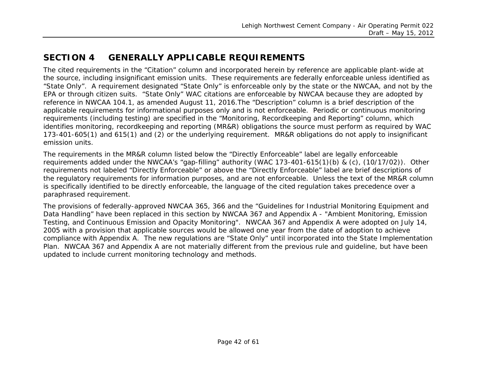# **SECTION 4 GENERALLY APPLICABLE REQUIREMENTS**

The cited requirements in the "Citation" column and incorporated herein by reference are applicable plant-wide at the source, including insignificant emission units. These requirements are federally enforceable unless identified as "State Only". A requirement designated "State Only" is enforceable only by the state or the NWCAA, and not by the EPA or through citizen suits. "State Only" WAC citations are enforceable by NWCAA because they are adopted by reference in NWCAA 104.1, as amended August 11, 2016.The "Description" column is a brief description of the applicable requirements for informational purposes only and is not enforceable. Periodic or continuous monitoring requirements (including testing) are specified in the "Monitoring, Recordkeeping and Reporting" column, which identifies monitoring, recordkeeping and reporting (MR&R) obligations the source must perform as required by WAC 173-401-605(1) and 615(1) and (2) or the underlying requirement. MR&R obligations do not apply to insignificant emission units.

<span id="page-41-0"></span>The requirements in the MR&R column listed below the *"Directly Enforceable"* label are legally enforceable requirements added under the NWCAA's "gap-filling" authority (WAC 173-401-615(1)(b) & (c), (10/17/02)). Other requirements not labeled *"Directly Enforceable"* or above the *"Directly Enforceable"* label are brief descriptions of the regulatory requirements for information purposes, and are not enforceable. Unless the text of the MR&R column is specifically identified to be directly enforceable, the language of the cited regulation takes precedence over a paraphrased requirement.

The provisions of federally-approved NWCAA 365, 366 and the "Guidelines for Industrial Monitoring Equipment and Data Handling" have been replaced in this section by NWCAA 367 and Appendix A - "Ambient Monitoring, Emission Testing, and Continuous Emission and Opacity Monitoring". NWCAA 367 and Appendix A were adopted on July 14, 2005 with a provision that applicable sources would be allowed one year from the date of adoption to achieve compliance with Appendix A. The new regulations are "State Only" until incorporated into the State Implementation Plan. NWCAA 367 and Appendix A are not materially different from the previous rule and guideline, but have been updated to include current monitoring technology and methods.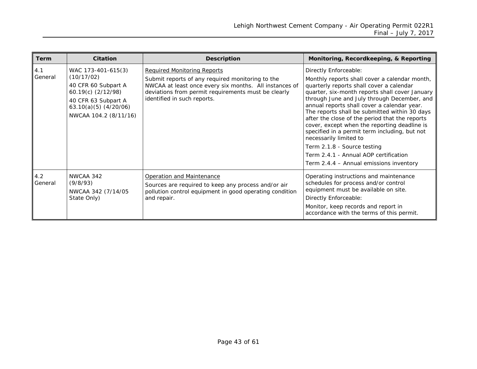| <b>Term</b>    | <b>Citation</b>                                                                                                                                            | <b>Description</b>                                                                                                                                                                                                              | Monitoring, Recordkeeping, & Reporting                                                                                                                                                                                                                                                                                                                                                                                                                                                                                                                                                                              |
|----------------|------------------------------------------------------------------------------------------------------------------------------------------------------------|---------------------------------------------------------------------------------------------------------------------------------------------------------------------------------------------------------------------------------|---------------------------------------------------------------------------------------------------------------------------------------------------------------------------------------------------------------------------------------------------------------------------------------------------------------------------------------------------------------------------------------------------------------------------------------------------------------------------------------------------------------------------------------------------------------------------------------------------------------------|
| 4.1<br>General | WAC 173-401-615(3)<br>(10/17/02)<br>40 CFR 60 Subpart A<br>60.19(c) (2/12/98)<br>40 CFR 63 Subpart A<br>$63.10(a)(5)$ $(4/20/06)$<br>NWCAA 104.2 (8/11/16) | Required Monitoring Reports<br>Submit reports of any required monitoring to the<br>NWCAA at least once every six months. All instances of<br>deviations from permit requirements must be clearly<br>identified in such reports. | Directly Enforceable:<br>Monthly reports shall cover a calendar month,<br>quarterly reports shall cover a calendar<br>quarter, six-month reports shall cover January<br>through June and July through December, and<br>annual reports shall cover a calendar year.<br>The reports shall be submitted within 30 days<br>after the close of the period that the reports<br>cover, except when the reporting deadline is<br>specified in a permit term including, but not<br>necessarily limited to<br>Term 2.1.8 - Source testing<br>Term 2.4.1 - Annual AOP certification<br>Term 2.4.4 - Annual emissions inventory |
| 4.2<br>General | NWCAA 342<br>(9/8/93)<br>NWCAA 342 (7/14/05)<br>State Only)                                                                                                | Operation and Maintenance<br>Sources are required to keep any process and/or air<br>pollution control equipment in good operating condition<br>and repair.                                                                      | Operating instructions and maintenance<br>schedules for process and/or control<br>equipment must be available on site.<br>Directly Enforceable:<br>Monitor, keep records and report in<br>accordance with the terms of this permit.                                                                                                                                                                                                                                                                                                                                                                                 |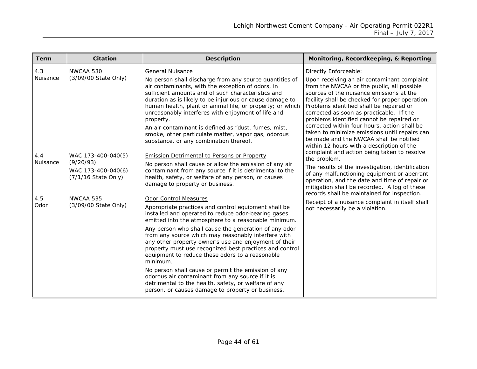<span id="page-43-0"></span>

| <b>Term</b>     | <b>Citation</b>                                                              | <b>Description</b>                                                                                                                                                                                                                                                                                                                                                                                                                                                                                                                                                                                                                                                                                                      | Monitoring, Recordkeeping, & Reporting                                                                                                                                                                                                                                                                                                                                                                                                                                                                                                                                                                                                                                                                                                                                                                                                                                                                                                                  |
|-----------------|------------------------------------------------------------------------------|-------------------------------------------------------------------------------------------------------------------------------------------------------------------------------------------------------------------------------------------------------------------------------------------------------------------------------------------------------------------------------------------------------------------------------------------------------------------------------------------------------------------------------------------------------------------------------------------------------------------------------------------------------------------------------------------------------------------------|---------------------------------------------------------------------------------------------------------------------------------------------------------------------------------------------------------------------------------------------------------------------------------------------------------------------------------------------------------------------------------------------------------------------------------------------------------------------------------------------------------------------------------------------------------------------------------------------------------------------------------------------------------------------------------------------------------------------------------------------------------------------------------------------------------------------------------------------------------------------------------------------------------------------------------------------------------|
| 4.3<br>Nuisance | NWCAA 530<br>(3/09/00 State Only)                                            | <b>General Nuisance</b><br>No person shall discharge from any source quantities of<br>air contaminants, with the exception of odors, in<br>sufficient amounts and of such characteristics and<br>duration as is likely to be injurious or cause damage to<br>human health, plant or animal life, or property; or which<br>unreasonably interferes with enjoyment of life and<br>property.<br>An air contaminant is defined as "dust, fumes, mist,<br>smoke, other particulate matter, vapor gas, odorous<br>substance, or any combination thereof.                                                                                                                                                                      | Directly Enforceable:<br>Upon receiving an air contaminant complaint<br>from the NWCAA or the public, all possible<br>sources of the nuisance emissions at the<br>facility shall be checked for proper operation.<br>Problems identified shall be repaired or<br>corrected as soon as practicable. If the<br>problems identified cannot be repaired or<br>corrected within four hours, action shall be<br>taken to minimize emissions until repairs can<br>be made and the NWCAA shall be notified<br>within 12 hours with a description of the<br>complaint and action being taken to resolve<br>the problem.<br>The results of the investigation, identification<br>of any malfunctioning equipment or aberrant<br>operation, and the date and time of repair or<br>mitigation shall be recorded. A log of these<br>records shall be maintained for inspection.<br>Receipt of a nuisance complaint in itself shall<br>not necessarily be a violation. |
| 4.4<br>Nuisance | WAC 173-400-040(5)<br>(9/20/93)<br>WAC 173-400-040(6)<br>(7/1/16 State Only) | <b>Emission Detrimental to Persons or Property</b><br>No person shall cause or allow the emission of any air<br>contaminant from any source if it is detrimental to the<br>health, safety, or welfare of any person, or causes<br>damage to property or business.                                                                                                                                                                                                                                                                                                                                                                                                                                                       |                                                                                                                                                                                                                                                                                                                                                                                                                                                                                                                                                                                                                                                                                                                                                                                                                                                                                                                                                         |
| 4.5<br>Odor     | NWCAA 535<br>(3/09/00 State Only)                                            | Odor Control Measures<br>Appropriate practices and control equipment shall be<br>installed and operated to reduce odor-bearing gases<br>emitted into the atmosphere to a reasonable minimum.<br>Any person who shall cause the generation of any odor<br>from any source which may reasonably interfere with<br>any other property owner's use and enjoyment of their<br>property must use recognized best practices and control<br>equipment to reduce these odors to a reasonable<br>minimum.<br>No person shall cause or permit the emission of any<br>odorous air contaminant from any source if it is<br>detrimental to the health, safety, or welfare of any<br>person, or causes damage to property or business. |                                                                                                                                                                                                                                                                                                                                                                                                                                                                                                                                                                                                                                                                                                                                                                                                                                                                                                                                                         |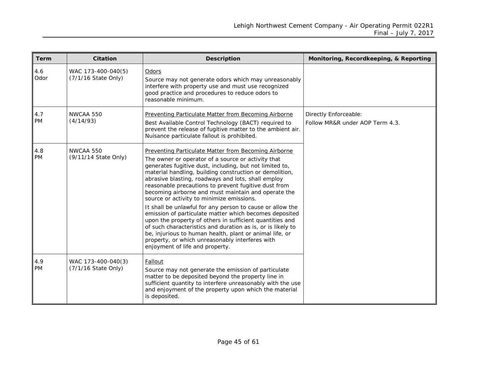| Term             | <b>Citation</b>                           | <b>Description</b>                                                                                                                                                                                                                                                                                                                                                                                                                                                                                                                                                                                                                                                                                                                                                                                                                                    | Monitoring, Recordkeeping, & Reporting                   |
|------------------|-------------------------------------------|-------------------------------------------------------------------------------------------------------------------------------------------------------------------------------------------------------------------------------------------------------------------------------------------------------------------------------------------------------------------------------------------------------------------------------------------------------------------------------------------------------------------------------------------------------------------------------------------------------------------------------------------------------------------------------------------------------------------------------------------------------------------------------------------------------------------------------------------------------|----------------------------------------------------------|
| 4.6<br>Odor      | WAC 173-400-040(5)<br>(7/1/16 State Only) | Odors<br>Source may not generate odors which may unreasonably<br>interfere with property use and must use recognized<br>good practice and procedures to reduce odors to<br>reasonable minimum.                                                                                                                                                                                                                                                                                                                                                                                                                                                                                                                                                                                                                                                        |                                                          |
| 4.7<br><b>PM</b> | NWCAA 550<br>(4/14/93)                    | Preventing Particulate Matter from Becoming Airborne<br>Best Available Control Technology (BACT) required to<br>prevent the release of fugitive matter to the ambient air.<br>Nuisance particulate fallout is prohibited.                                                                                                                                                                                                                                                                                                                                                                                                                                                                                                                                                                                                                             | Directly Enforceable:<br>Follow MR&R under AOP Term 4.3. |
| 4.8<br>PM        | NWCAA 550<br>(9/11/14 State Only)         | Preventing Particulate Matter from Becoming Airborne<br>The owner or operator of a source or activity that<br>generates fugitive dust, including, but not limited to,<br>material handling, building construction or demolition,<br>abrasive blasting, roadways and lots, shall employ<br>reasonable precautions to prevent fugitive dust from<br>becoming airborne and must maintain and operate the<br>source or activity to minimize emissions.<br>It shall be unlawful for any person to cause or allow the<br>emission of particulate matter which becomes deposited<br>upon the property of others in sufficient quantities and<br>of such characteristics and duration as is, or is likely to<br>be, injurious to human health, plant or animal life, or<br>property, or which unreasonably interferes with<br>enjoyment of life and property. |                                                          |
| 4.9<br><b>PM</b> | WAC 173-400-040(3)<br>(7/1/16 State Only) | Fallout<br>Source may not generate the emission of particulate<br>matter to be deposited beyond the property line in<br>sufficient quantity to interfere unreasonably with the use<br>and enjoyment of the property upon which the material<br>is deposited.                                                                                                                                                                                                                                                                                                                                                                                                                                                                                                                                                                                          |                                                          |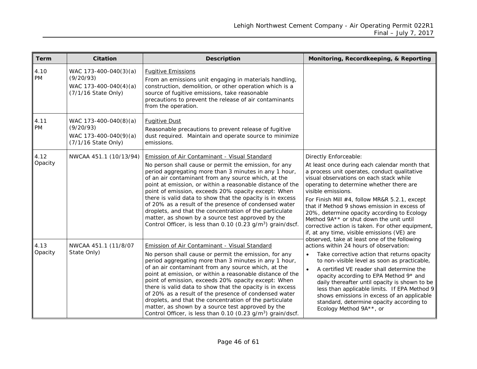| <b>Term</b>     | <b>Citation</b>                                                                    | <b>Description</b>                                                                                                                                                                                                                                                                                                                                                                                                                                                                                                                                                                                                                                          | Monitoring, Recordkeeping, & Reporting                                                                                                                                                                                                                                                                                                                                                                                                                                                                                            |
|-----------------|------------------------------------------------------------------------------------|-------------------------------------------------------------------------------------------------------------------------------------------------------------------------------------------------------------------------------------------------------------------------------------------------------------------------------------------------------------------------------------------------------------------------------------------------------------------------------------------------------------------------------------------------------------------------------------------------------------------------------------------------------------|-----------------------------------------------------------------------------------------------------------------------------------------------------------------------------------------------------------------------------------------------------------------------------------------------------------------------------------------------------------------------------------------------------------------------------------------------------------------------------------------------------------------------------------|
| 4.10<br>PM      | WAC 173-400-040(3)(a)<br>(9/20/93)<br>WAC 173-400-040(4)(a)<br>(7/1/16 State Only) | <b>Fugitive Emissions</b><br>From an emissions unit engaging in materials handling,<br>construction, demolition, or other operation which is a<br>source of fugitive emissions, take reasonable<br>precautions to prevent the release of air contaminants<br>from the operation.                                                                                                                                                                                                                                                                                                                                                                            |                                                                                                                                                                                                                                                                                                                                                                                                                                                                                                                                   |
| 4.11<br>PM      | WAC 173-400-040(8)(a)<br>(9/20/93)<br>WAC 173-400-040(9)(a)<br>(7/1/16 State Only) | <b>Fugitive Dust</b><br>Reasonable precautions to prevent release of fugitive<br>dust required. Maintain and operate source to minimize<br>emissions.                                                                                                                                                                                                                                                                                                                                                                                                                                                                                                       |                                                                                                                                                                                                                                                                                                                                                                                                                                                                                                                                   |
| 4.12<br>Opacity | NWCAA 451.1 (10/13/94)                                                             | Emission of Air Contaminant - Visual Standard<br>No person shall cause or permit the emission, for any<br>period aggregating more than 3 minutes in any 1 hour,<br>of an air contaminant from any source which, at the<br>point at emission, or within a reasonable distance of the<br>point of emission, exceeds 20% opacity except: When<br>there is valid data to show that the opacity is in excess<br>of 20% as a result of the presence of condensed water<br>droplets, and that the concentration of the particulate<br>matter, as shown by a source test approved by the<br>Control Officer, is less than 0.10 (0.23 g/m <sup>3</sup> ) grain/dscf. | Directly Enforceable:<br>At least once during each calendar month that<br>a process unit operates, conduct qualitative<br>visual observations on each stack while<br>operating to determine whether there are<br>visible emissions.<br>For Finish Mill #4, follow MR&R 5.2.1, except<br>that if Method 9 shows emission in excess of<br>20%, determine opacity according to Ecology<br>Method 9A** or shut down the unit until<br>corrective action is taken. For other equipment,<br>if, at any time, visible emissions (VE) are |
| 4.13<br>Opacity | NWCAA 451.1 (11/8/07<br>State Only)                                                | Emission of Air Contaminant - Visual Standard<br>No person shall cause or permit the emission, for any<br>period aggregating more than 3 minutes in any 1 hour,<br>of an air contaminant from any source which, at the<br>point at emission, or within a reasonable distance of the<br>point of emission, exceeds 20% opacity except: When<br>there is valid data to show that the opacity is in excess<br>of 20% as a result of the presence of condensed water<br>droplets, and that the concentration of the particulate<br>matter, as shown by a source test approved by the<br>Control Officer, is less than 0.10 (0.23 g/m <sup>3</sup> ) grain/dscf. | observed, take at least one of the following<br>actions within 24 hours of observation:<br>Take corrective action that returns opacity<br>to non-visible level as soon as practicable,<br>A certified VE reader shall determine the<br>opacity according to EPA Method 9* and<br>daily thereafter until opacity is shown to be<br>less than applicable limits. If EPA Method 9<br>shows emissions in excess of an applicable<br>standard, determine opacity according to<br>Ecology Method 9A**, or                               |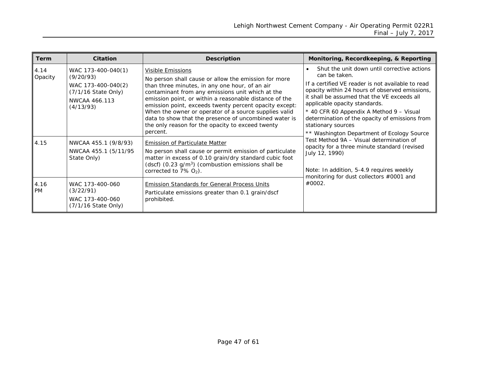| <b>Term</b>       | <b>Citation</b>                                                                                            | <b>Description</b>                                                                                                                                                                                                                                                                                                                                                                                                                                                                           | Monitoring, Recordkeeping, & Reporting                                                                                                                                                                                                                                                                                                                                                                                |  |
|-------------------|------------------------------------------------------------------------------------------------------------|----------------------------------------------------------------------------------------------------------------------------------------------------------------------------------------------------------------------------------------------------------------------------------------------------------------------------------------------------------------------------------------------------------------------------------------------------------------------------------------------|-----------------------------------------------------------------------------------------------------------------------------------------------------------------------------------------------------------------------------------------------------------------------------------------------------------------------------------------------------------------------------------------------------------------------|--|
| 4.14<br>Opacity   | WAC 173-400-040(1)<br>(9/20/93)<br>WAC 173-400-040(2)<br>(7/1/16 State Only)<br>NWCAA 466.113<br>(4/13/93) | <b>Visible Emissions</b><br>No person shall cause or allow the emission for more<br>than three minutes, in any one hour, of an air<br>contaminant from any emissions unit which at the<br>emission point, or within a reasonable distance of the<br>emission point, exceeds twenty percent opacity except:<br>When the owner or operator of a source supplies valid<br>data to show that the presence of uncombined water is<br>the only reason for the opacity to exceed twenty<br>percent. | Shut the unit down until corrective actions<br>can be taken.<br>If a certified VE reader is not available to read<br>opacity within 24 hours of observed emissions,<br>it shall be assumed that the VE exceeds all<br>applicable opacity standards.<br>* 40 CFR 60 Appendix A Method 9 - Visual<br>determination of the opacity of emissions from<br>stationary sources<br>** Washington Department of Ecology Source |  |
| 4.15              | NWCAA 455.1 (9/8/93)<br>NWCAA 455.1 (5/11/95<br>State Only)                                                | <b>Emission of Particulate Matter</b><br>No person shall cause or permit emission of particulate<br>matter in excess of 0.10 grain/dry standard cubic foot<br>(dscf) $(0.23 \text{ g/m}^3)$ (combustion emissions shall be<br>corrected to $7\%$ O <sub>2</sub> ).                                                                                                                                                                                                                           | Test Method 9A - Visual determination of<br>opacity for a three minute standard (revised<br>July 12, 1990)<br>Note: In addition, 5-4.9 requires weekly<br>monitoring for dust collectors #0001 and                                                                                                                                                                                                                    |  |
| 4.16<br><b>PM</b> | WAC 173-400-060<br>(3/22/91)<br>WAC 173-400-060<br>(7/1/16 State Only)                                     | <b>Emission Standards for General Process Units</b><br>Particulate emissions greater than 0.1 grain/dscf<br>prohibited.                                                                                                                                                                                                                                                                                                                                                                      | #0002.                                                                                                                                                                                                                                                                                                                                                                                                                |  |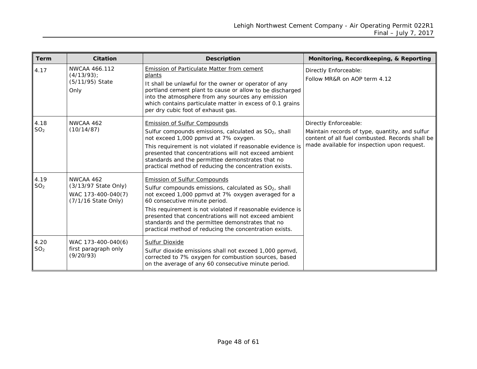| <b>Term</b>             | <b>Citation</b>                                                                | <b>Description</b>                                                                                                                                                                                                                                                                                                                                                                                                                   | Monitoring, Recordkeeping, & Reporting                                                                                                                                    |
|-------------------------|--------------------------------------------------------------------------------|--------------------------------------------------------------------------------------------------------------------------------------------------------------------------------------------------------------------------------------------------------------------------------------------------------------------------------------------------------------------------------------------------------------------------------------|---------------------------------------------------------------------------------------------------------------------------------------------------------------------------|
| 4.17                    | NWCAA 466.112<br>$(4/13/93)$ ;<br>(5/11/95) State<br>Only                      | <b>Emission of Particulate Matter from cement</b><br>plants<br>It shall be unlawful for the owner or operator of any<br>portland cement plant to cause or allow to be discharged<br>into the atmosphere from any sources any emission<br>which contains particulate matter in excess of 0.1 grains<br>per dry cubic foot of exhaust gas.                                                                                             | Directly Enforceable:<br>Follow MR&R on AOP term 4.12                                                                                                                     |
| 4.18<br>SO <sub>2</sub> | NWCAA 462<br>(10/14/87)                                                        | <b>Emission of Sulfur Compounds</b><br>Sulfur compounds emissions, calculated as SO <sub>2</sub> , shall<br>not exceed 1,000 ppmvd at 7% oxygen.<br>This requirement is not violated if reasonable evidence is<br>presented that concentrations will not exceed ambient<br>standards and the permittee demonstrates that no<br>practical method of reducing the concentration exists.                                                | Directly Enforceable:<br>Maintain records of type, quantity, and sulfur<br>content of all fuel combusted. Records shall be<br>made available for inspection upon request. |
| 4.19<br>SO <sub>2</sub> | NWCAA 462<br>(3/13/97 State Only)<br>WAC 173-400-040(7)<br>(7/1/16 State Only) | <b>Emission of Sulfur Compounds</b><br>Sulfur compounds emissions, calculated as SO <sub>2</sub> , shall<br>not exceed 1,000 ppmvd at 7% oxygen averaged for a<br>60 consecutive minute period.<br>This requirement is not violated if reasonable evidence is<br>presented that concentrations will not exceed ambient<br>standards and the permittee demonstrates that no<br>practical method of reducing the concentration exists. |                                                                                                                                                                           |
| 4.20<br>SO <sub>2</sub> | WAC 173-400-040(6)<br>first paragraph only<br>(9/20/93)                        | <b>Sulfur Dioxide</b><br>Sulfur dioxide emissions shall not exceed 1,000 ppmvd,<br>corrected to 7% oxygen for combustion sources, based<br>on the average of any 60 consecutive minute period.                                                                                                                                                                                                                                       |                                                                                                                                                                           |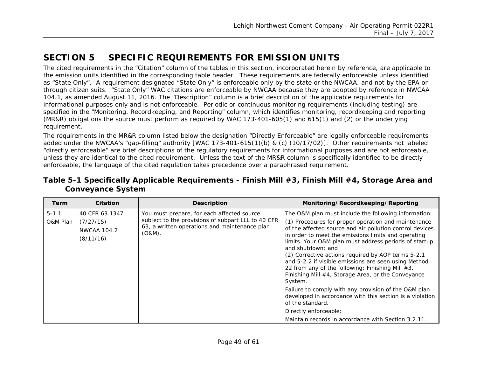# **SECTION 5 SPECIFIC REQUIREMENTS FOR EMISSION UNITS**

The cited requirements in the "Citation" column of the tables in this section, incorporated herein by reference, are applicable to the emission units identified in the corresponding table header. These requirements are federally enforceable unless identified as "State Only". A requirement designated "State Only" is enforceable only by the state or the NWCAA, and not by the EPA or through citizen suits. "State Only" WAC citations are enforceable by NWCAA because they are adopted by reference in NWCAA 104.1, as amended August 11, 2016. The "Description" column is a brief description of the applicable requirements for informational purposes only and is not enforceable. Periodic or continuous monitoring requirements (including testing) are specified in the "Monitoring, Recordkeeping, and Reporting" column, which identifies monitoring, recordkeeping and reporting (MR&R) obligations the source must perform as required by WAC 173-401-605(1) and 615(1) and (2) or the underlying requirement.

The requirements in the MR&R column listed below the designation "Directly Enforceable" are legally enforceable requirements added under the NWCAA's "gap-filling" authority [WAC 173-401-615(1)(b) & (c) (10/17/02)]. Other requirements not labeled "directly enforceable" are brief descriptions of the regulatory requirements for informational purposes and are not enforceable, unless they are identical to the cited requirement. Unless the text of the MR&R column is specifically identified to be directly enforceable, the language of the cited regulation takes precedence over a paraphrased requirement.

<span id="page-48-0"></span>

| Table 5-1 Specifically Applicable Requirements - Finish Mill #3, Finish Mill #4, Storage Area and |  |  |  |
|---------------------------------------------------------------------------------------------------|--|--|--|
| <b>Conveyance System</b>                                                                          |  |  |  |

<span id="page-48-1"></span>

| <b>Term</b>           | <b>Citation</b>                                         | <b>Description</b>                                                                                                                                             | Monitoring/Recordkeeping/Reporting                                                                                                                                                                                                                                                                                                                                                                                                                                                                                                              |
|-----------------------|---------------------------------------------------------|----------------------------------------------------------------------------------------------------------------------------------------------------------------|-------------------------------------------------------------------------------------------------------------------------------------------------------------------------------------------------------------------------------------------------------------------------------------------------------------------------------------------------------------------------------------------------------------------------------------------------------------------------------------------------------------------------------------------------|
| $5 - 1.1$<br>O&M Plan | 40 CFR 63.1347<br>(7/27/15)<br>NWCAA 104.2<br>(8/11/16) | You must prepare, for each affected source<br>subject to the provisions of subpart LLL to 40 CFR<br>63, a written operations and maintenance plan<br>$(O&M)$ . | The O&M plan must include the following information:<br>(1) Procedures for proper operation and maintenance<br>of the affected source and air pollution control devices<br>in order to meet the emissions limits and operating<br>limits. Your O&M plan must address periods of startup<br>and shutdown: and<br>(2) Corrective actions required by AOP terms 5-2.1<br>and 5-2.2 if visible emissions are seen using Method<br>22 from any of the following: Finishing Mill #3,<br>Finishing Mill #4, Storage Area, or the Conveyance<br>System. |
|                       |                                                         |                                                                                                                                                                | Failure to comply with any provision of the O&M plan<br>developed in accordance with this section is a violation<br>of the standard.<br>Directly enforceable:<br>Maintain records in accordance with Section 3.2.11.                                                                                                                                                                                                                                                                                                                            |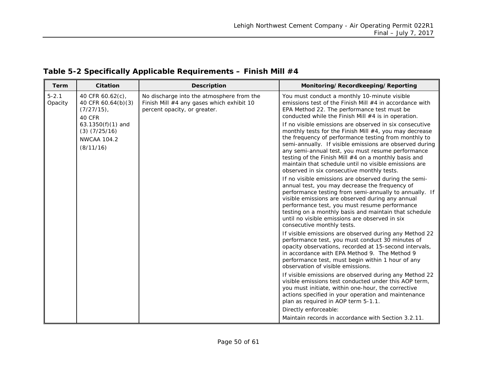<span id="page-49-0"></span>

| <b>Term</b>          | Citation                                                                  | <b>Description</b>                                                                                                     | Monitoring/Recordkeeping/Reporting                                                                                                                                                                                                                                                                                                                                                                                                                       |
|----------------------|---------------------------------------------------------------------------|------------------------------------------------------------------------------------------------------------------------|----------------------------------------------------------------------------------------------------------------------------------------------------------------------------------------------------------------------------------------------------------------------------------------------------------------------------------------------------------------------------------------------------------------------------------------------------------|
| $5 - 2.1$<br>Opacity | 40 CFR 60.62(c),<br>40 CFR 60.64(b)(3)<br>$(7/27/15)$ ,<br>40 CFR         | No discharge into the atmosphere from the<br>Finish Mill #4 any gases which exhibit 10<br>percent opacity, or greater. | You must conduct a monthly 10-minute visible<br>emissions test of the Finish Mill $#4$ in accordance with<br>EPA Method 22. The performance test must be<br>conducted while the Finish Mill $#4$ is in operation.                                                                                                                                                                                                                                        |
|                      | 63.1350(f)(1) and<br>$(3)$ $(7/25/16)$<br><b>NWCAA 104.2</b><br>(8/11/16) |                                                                                                                        | If no visible emissions are observed in six consecutive<br>monthly tests for the Finish Mill #4, you may decrease<br>the frequency of performance testing from monthly to<br>semi-annually. If visible emissions are observed during<br>any semi-annual test, you must resume performance<br>testing of the Finish Mill #4 on a monthly basis and<br>maintain that schedule until no visible emissions are<br>observed in six consecutive monthly tests. |
|                      |                                                                           |                                                                                                                        | If no visible emissions are observed during the semi-<br>annual test, you may decrease the frequency of<br>performance testing from semi-annually to annually. If<br>visible emissions are observed during any annual<br>performance test, you must resume performance<br>testing on a monthly basis and maintain that schedule<br>until no visible emissions are observed in six<br>consecutive monthly tests.                                          |
|                      |                                                                           |                                                                                                                        | If visible emissions are observed during any Method 22<br>performance test, you must conduct 30 minutes of<br>opacity observations, recorded at 15-second intervals,<br>in accordance with EPA Method 9. The Method 9<br>performance test, must begin within 1 hour of any<br>observation of visible emissions.                                                                                                                                          |
|                      |                                                                           |                                                                                                                        | If visible emissions are observed during any Method 22<br>visible emissions test conducted under this AOP term,<br>you must initiate, within one-hour, the corrective<br>actions specified in your operation and maintenance<br>plan as required in AOP term 5-1.1.                                                                                                                                                                                      |
|                      |                                                                           |                                                                                                                        | Directly enforceable:<br>Maintain records in accordance with Section 3.2.11.                                                                                                                                                                                                                                                                                                                                                                             |

### **Table 5-2 Specifically Applicable Requirements – Finish Mill #4**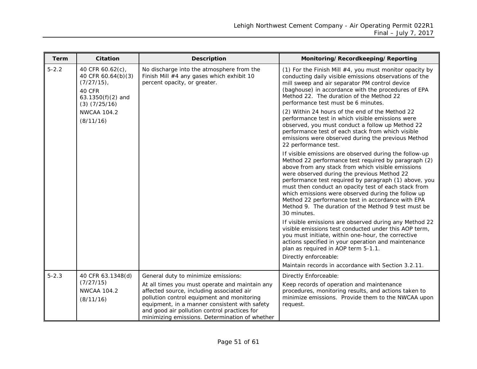| <b>Term</b> | Citation                                                                                                       | <b>Description</b>                                                                                                                                                                                                                                                                                                                  | Monitoring/Recordkeeping/Reporting                                                                                                                                                                                                                                                                                                                                                                                                                                                                                   |
|-------------|----------------------------------------------------------------------------------------------------------------|-------------------------------------------------------------------------------------------------------------------------------------------------------------------------------------------------------------------------------------------------------------------------------------------------------------------------------------|----------------------------------------------------------------------------------------------------------------------------------------------------------------------------------------------------------------------------------------------------------------------------------------------------------------------------------------------------------------------------------------------------------------------------------------------------------------------------------------------------------------------|
| $5 - 2.2$   | 40 CFR 60.62(c),<br>40 CFR 60.64(b)(3)<br>$(7/27/15)$ ,<br>40 CFR<br>63.1350 $(f)(2)$ and<br>$(3)$ $(7/25/16)$ | No discharge into the atmosphere from the<br>Finish Mill #4 any gases which exhibit 10<br>percent opacity, or greater.                                                                                                                                                                                                              | (1) For the Finish Mill #4, you must monitor opacity by<br>conducting daily visible emissions observations of the<br>mill sweep and air separator PM control device<br>(baghouse) in accordance with the procedures of EPA<br>Method 22. The duration of the Method 22<br>performance test must be 6 minutes.                                                                                                                                                                                                        |
|             | <b>NWCAA 104.2</b><br>(8/11/16)                                                                                |                                                                                                                                                                                                                                                                                                                                     | (2) Within 24 hours of the end of the Method 22<br>performance test in which visible emissions were<br>observed, you must conduct a follow up Method 22<br>performance test of each stack from which visible<br>emissions were observed during the previous Method<br>22 performance test.                                                                                                                                                                                                                           |
|             |                                                                                                                |                                                                                                                                                                                                                                                                                                                                     | If visible emissions are observed during the follow-up<br>Method 22 performance test required by paragraph (2)<br>above from any stack from which visible emissions<br>were observed during the previous Method 22<br>performance test required by paragraph (1) above, you<br>must then conduct an opacity test of each stack from<br>which emissions were observed during the follow up<br>Method 22 performance test in accordance with EPA<br>Method 9. The duration of the Method 9 test must be<br>30 minutes. |
|             |                                                                                                                |                                                                                                                                                                                                                                                                                                                                     | If visible emissions are observed during any Method 22<br>visible emissions test conducted under this AOP term,<br>you must initiate, within one-hour, the corrective<br>actions specified in your operation and maintenance<br>plan as required in AOP term 5-1.1.<br>Directly enforceable:                                                                                                                                                                                                                         |
|             |                                                                                                                |                                                                                                                                                                                                                                                                                                                                     | Maintain records in accordance with Section 3.2.11.                                                                                                                                                                                                                                                                                                                                                                                                                                                                  |
| $5 - 2.3$   | 40 CFR 63.1348(d)<br>(7/27/15)<br><b>NWCAA 104.2</b><br>(8/11/16)                                              | General duty to minimize emissions:<br>At all times you must operate and maintain any<br>affected source, including associated air<br>pollution control equipment and monitoring<br>equipment, in a manner consistent with safety<br>and good air pollution control practices for<br>minimizing emissions. Determination of whether | Directly Enforceable:<br>Keep records of operation and maintenance<br>procedures, monitoring results, and actions taken to<br>minimize emissions. Provide them to the NWCAA upon<br>request.                                                                                                                                                                                                                                                                                                                         |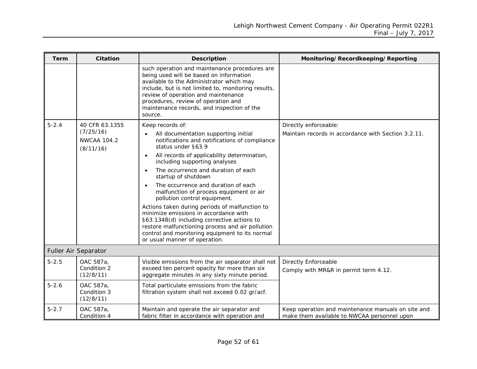| Term      | <b>Citation</b>                                                | <b>Description</b>                                                                                                                                                                                                                                                                                                                                                                                                                                                                                                                                                                                                                                                               | Monitoring/Recordkeeping/Reporting                                                                |
|-----------|----------------------------------------------------------------|----------------------------------------------------------------------------------------------------------------------------------------------------------------------------------------------------------------------------------------------------------------------------------------------------------------------------------------------------------------------------------------------------------------------------------------------------------------------------------------------------------------------------------------------------------------------------------------------------------------------------------------------------------------------------------|---------------------------------------------------------------------------------------------------|
|           |                                                                | such operation and maintenance procedures are<br>being used will be based on information<br>available to the Administrator which may<br>include, but is not limited to, monitoring results,<br>review of operation and maintenance<br>procedures, review of operation and<br>maintenance records, and inspection of the<br>source.                                                                                                                                                                                                                                                                                                                                               |                                                                                                   |
| $5 - 2.4$ | 40 CFR 63.1355<br>(7/25/16)<br><b>NWCAA 104.2</b><br>(8/11/16) | Keep records of:<br>All documentation supporting initial<br>notifications and notifications of compliance<br>status under §63.9<br>All records of applicability determination,<br>including supporting analyses<br>The occurrence and duration of each<br>startup of shutdown<br>The occurrence and duration of each<br>malfunction of process equipment or air<br>pollution control equipment.<br>Actions taken during periods of malfunction to<br>minimize emissions in accordance with<br>§63.1348(d) including corrective actions to<br>restore malfunctioning process and air pollution<br>control and monitoring equipment to its normal<br>or usual manner of operation. | Directly enforceable:<br>Maintain records in accordance with Section 3.2.11.                      |
|           | Fuller Air Separator                                           |                                                                                                                                                                                                                                                                                                                                                                                                                                                                                                                                                                                                                                                                                  |                                                                                                   |
| $5 - 2.5$ | OAC 587a,<br>Condition 2<br>(12/8/11)                          | Visible emissions from the air separator shall not<br>exceed ten percent opacity for more than six<br>aggregate minutes in any sixty minute period.                                                                                                                                                                                                                                                                                                                                                                                                                                                                                                                              | <b>Directly Enforceable</b><br>Comply with MR&R in permit term 4.12.                              |
| $5 - 2.6$ | OAC 587a,<br>Condition 3<br>(12/8/11)                          | Total particulate emissions from the fabric<br>filtration system shall not exceed 0.02 gr/acf.                                                                                                                                                                                                                                                                                                                                                                                                                                                                                                                                                                                   |                                                                                                   |
| $5 - 2.7$ | OAC 587a,<br>Condition 4                                       | Maintain and operate the air separator and<br>fabric filter in accordance with operation and                                                                                                                                                                                                                                                                                                                                                                                                                                                                                                                                                                                     | Keep operation and maintenance manuals on site and<br>make them available to NWCAA personnel upon |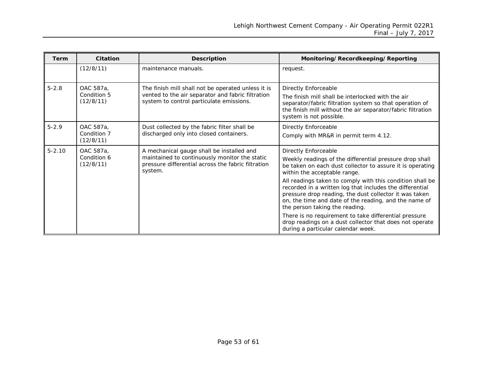| <b>Term</b> | Citation                              | <b>Description</b>                                                                                                                                          | Monitoring/Recordkeeping/Reporting                                                                                                                                                                                                                                                                                                                                                                                                                         |
|-------------|---------------------------------------|-------------------------------------------------------------------------------------------------------------------------------------------------------------|------------------------------------------------------------------------------------------------------------------------------------------------------------------------------------------------------------------------------------------------------------------------------------------------------------------------------------------------------------------------------------------------------------------------------------------------------------|
|             | (12/8/11)                             | maintenance manuals.                                                                                                                                        | request.                                                                                                                                                                                                                                                                                                                                                                                                                                                   |
| $5 - 2.8$   | OAC 587a,<br>Condition 5<br>(12/8/11) | The finish mill shall not be operated unless it is<br>vented to the air separator and fabric filtration<br>system to control particulate emissions.         | Directly Enforceable<br>The finish mill shall be interlocked with the air<br>separator/fabric filtration system so that operation of<br>the finish mill without the air separator/fabric filtration<br>system is not possible.                                                                                                                                                                                                                             |
| $5 - 2.9$   | OAC 587a,<br>Condition 7<br>(12/8/11) | Dust collected by the fabric filter shall be<br>discharged only into closed containers.                                                                     | <b>Directly Enforceable</b><br>Comply with MR&R in permit term 4.12.                                                                                                                                                                                                                                                                                                                                                                                       |
| $5 - 2.10$  | OAC 587a,<br>Condition 6<br>(12/8/11) | A mechanical gauge shall be installed and<br>maintained to continuously monitor the static<br>pressure differential across the fabric filtration<br>system. | Directly Enforceable<br>Weekly readings of the differential pressure drop shall<br>be taken on each dust collector to assure it is operating<br>within the acceptable range.<br>All readings taken to comply with this condition shall be<br>recorded in a written log that includes the differential<br>pressure drop reading, the dust collector it was taken<br>on, the time and date of the reading, and the name of<br>the person taking the reading. |
|             |                                       |                                                                                                                                                             | There is no requirement to take differential pressure<br>drop readings on a dust collector that does not operate<br>during a particular calendar week.                                                                                                                                                                                                                                                                                                     |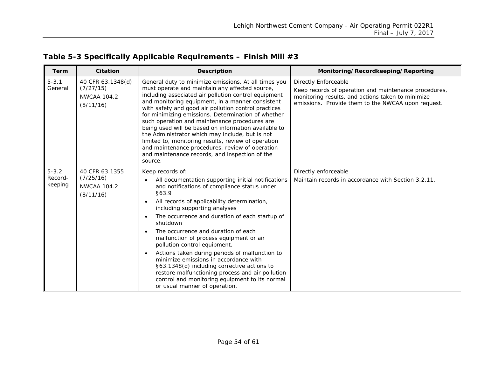<span id="page-53-0"></span>

| <b>Term</b>                     | <b>Citation</b>                                                   | <b>Description</b>                                                                                                                                                                                                                                                                                                                                                                                                                                                                                                                                                                                                                                                                                                                   | Monitoring/Recordkeeping/Reporting                                                                                                                                                              |
|---------------------------------|-------------------------------------------------------------------|--------------------------------------------------------------------------------------------------------------------------------------------------------------------------------------------------------------------------------------------------------------------------------------------------------------------------------------------------------------------------------------------------------------------------------------------------------------------------------------------------------------------------------------------------------------------------------------------------------------------------------------------------------------------------------------------------------------------------------------|-------------------------------------------------------------------------------------------------------------------------------------------------------------------------------------------------|
| $5 - 3.1$<br>General            | 40 CFR 63.1348(d)<br>(7/27/15)<br><b>NWCAA 104.2</b><br>(8/11/16) | General duty to minimize emissions. At all times you<br>must operate and maintain any affected source,<br>including associated air pollution control equipment<br>and monitoring equipment, in a manner consistent<br>with safety and good air pollution control practices<br>for minimizing emissions. Determination of whether<br>such operation and maintenance procedures are<br>being used will be based on information available to<br>the Administrator which may include, but is not<br>limited to, monitoring results, review of operation<br>and maintenance procedures, review of operation<br>and maintenance records, and inspection of the<br>source.                                                                  | <b>Directly Enforceable</b><br>Keep records of operation and maintenance procedures,<br>monitoring results, and actions taken to minimize<br>emissions. Provide them to the NWCAA upon request. |
| $5 - 3.2$<br>Record-<br>keeping | 40 CFR 63.1355<br>(7/25/16)<br><b>NWCAA 104.2</b><br>(8/11/16)    | Keep records of:<br>All documentation supporting initial notifications<br>and notifications of compliance status under<br>§63.9<br>All records of applicability determination,<br>$\bullet$<br>including supporting analyses<br>The occurrence and duration of each startup of<br>$\bullet$<br>shutdown<br>The occurrence and duration of each<br>$\bullet$<br>malfunction of process equipment or air<br>pollution control equipment.<br>Actions taken during periods of malfunction to<br>$\bullet$<br>minimize emissions in accordance with<br>§63.1348(d) including corrective actions to<br>restore malfunctioning process and air pollution<br>control and monitoring equipment to its normal<br>or usual manner of operation. | Directly enforceable<br>Maintain records in accordance with Section 3.2.11.                                                                                                                     |

# **Table 5-3 Specifically Applicable Requirements – Finish Mill #3**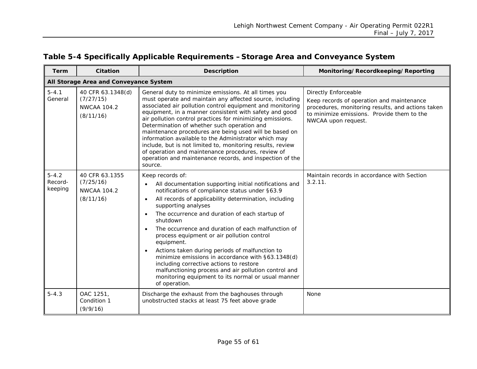<span id="page-54-0"></span>

| Term                            | Citation                                                          | <b>Description</b>                                                                                                                                                                                                                                                                                                                                                                                                                                                                                                                                                                                                                                                                         | Monitoring/Recordkeeping/Reporting                                                                                                                                                                 |
|---------------------------------|-------------------------------------------------------------------|--------------------------------------------------------------------------------------------------------------------------------------------------------------------------------------------------------------------------------------------------------------------------------------------------------------------------------------------------------------------------------------------------------------------------------------------------------------------------------------------------------------------------------------------------------------------------------------------------------------------------------------------------------------------------------------------|----------------------------------------------------------------------------------------------------------------------------------------------------------------------------------------------------|
|                                 | All Storage Area and Conveyance System                            |                                                                                                                                                                                                                                                                                                                                                                                                                                                                                                                                                                                                                                                                                            |                                                                                                                                                                                                    |
| $5 - 4.1$<br>General            | 40 CFR 63.1348(d)<br>(7/27/15)<br><b>NWCAA 104.2</b><br>(8/11/16) | General duty to minimize emissions. At all times you<br>must operate and maintain any affected source, including<br>associated air pollution control equipment and monitoring<br>equipment, in a manner consistent with safety and good<br>air pollution control practices for minimizing emissions.<br>Determination of whether such operation and<br>maintenance procedures are being used will be based on<br>information available to the Administrator which may<br>include, but is not limited to, monitoring results, review<br>of operation and maintenance procedures, review of<br>operation and maintenance records, and inspection of the<br>source.                           | <b>Directly Enforceable</b><br>Keep records of operation and maintenance<br>procedures, monitoring results, and actions taken<br>to minimize emissions. Provide them to the<br>NWCAA upon request. |
| $5 - 4.2$<br>Record-<br>keeping | 40 CFR 63.1355<br>(7/25/16)<br><b>NWCAA 104.2</b><br>(8/11/16)    | Keep records of:<br>All documentation supporting initial notifications and<br>notifications of compliance status under §63.9<br>All records of applicability determination, including<br>$\bullet$<br>supporting analyses<br>The occurrence and duration of each startup of<br>shutdown<br>The occurrence and duration of each malfunction of<br>process equipment or air pollution control<br>equipment.<br>Actions taken during periods of malfunction to<br>minimize emissions in accordance with §63.1348(d)<br>including corrective actions to restore<br>malfunctioning process and air pollution control and<br>monitoring equipment to its normal or usual manner<br>of operation. | Maintain records in accordance with Section<br>3.2.11.                                                                                                                                             |
| $5 - 4.3$                       | OAC 1251,<br>Condition 1<br>(9/9/16)                              | Discharge the exhaust from the baghouses through<br>unobstructed stacks at least 75 feet above grade                                                                                                                                                                                                                                                                                                                                                                                                                                                                                                                                                                                       | None                                                                                                                                                                                               |

# **Table 5-4 Specifically Applicable Requirements –Storage Area and Conveyance System**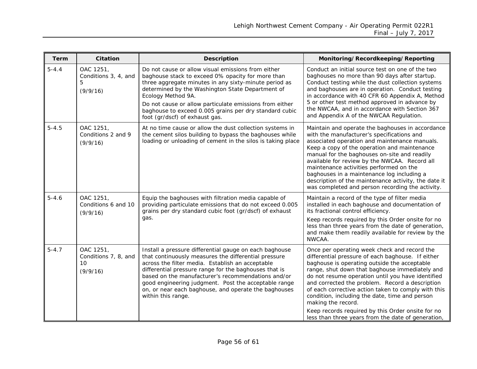| Term      | <b>Citation</b>                                     | <b>Description</b>                                                                                                                                                                                                                                                                                                                                                                                                      | Monitoring/Recordkeeping/Reporting                                                                                                                                                                                                                                                                                                                                                                                                                                                                                                                    |
|-----------|-----------------------------------------------------|-------------------------------------------------------------------------------------------------------------------------------------------------------------------------------------------------------------------------------------------------------------------------------------------------------------------------------------------------------------------------------------------------------------------------|-------------------------------------------------------------------------------------------------------------------------------------------------------------------------------------------------------------------------------------------------------------------------------------------------------------------------------------------------------------------------------------------------------------------------------------------------------------------------------------------------------------------------------------------------------|
| $5 - 4.4$ | OAC 1251,<br>Conditions 3, 4, and<br>5<br>(9/9/16)  | Do not cause or allow visual emissions from either<br>baghouse stack to exceed 0% opacity for more than<br>three aggregate minutes in any sixty-minute period as<br>determined by the Washington State Department of<br>Ecology Method 9A.<br>Do not cause or allow particulate emissions from either<br>baghouse to exceed 0.005 grains per dry standard cubic<br>foot (gr/dscf) of exhaust gas.                       | Conduct an initial source test on one of the two<br>baghouses no more than 90 days after startup.<br>Conduct testing while the dust collection systems<br>and baghouses are in operation. Conduct testing<br>in accordance with 40 CFR 60 Appendix A, Method<br>5 or other test method approved in advance by<br>the NWCAA, and in accordance with Section 367<br>and Appendix A of the NWCAA Regulation.                                                                                                                                             |
| $5 - 4.5$ | OAC 1251,<br>Conditions 2 and 9<br>(9/9/16)         | At no time cause or allow the dust collection systems in<br>the cement silos building to bypass the baghouses while<br>loading or unloading of cement in the silos is taking place                                                                                                                                                                                                                                      | Maintain and operate the baghouses in accordance<br>with the manufacturer's specifications and<br>associated operation and maintenance manuals.<br>Keep a copy of the operation and maintenance<br>manual for the baghouses on-site and readily<br>available for review by the NWCAA. Record all<br>maintenance activities performed on the<br>baghouses in a maintenance log including a<br>description of the maintenance activity, the date it<br>was completed and person recording the activity.                                                 |
| $5 - 4.6$ | OAC 1251,<br>Conditions 6 and 10<br>(9/9/16)        | Equip the baghouses with filtration media capable of<br>providing particulate emissions that do not exceed 0.005<br>grains per dry standard cubic foot (gr/dscf) of exhaust<br>qas.                                                                                                                                                                                                                                     | Maintain a record of the type of filter media<br>installed in each baghouse and documentation of<br>its fractional control efficiency.<br>Keep records required by this Order onsite for no<br>less than three years from the date of generation,<br>and make them readily available for review by the<br>NWCAA.                                                                                                                                                                                                                                      |
| $5 - 4.7$ | OAC 1251,<br>Conditions 7, 8, and<br>10<br>(9/9/16) | Install a pressure differential gauge on each baghouse<br>that continuously measures the differential pressure<br>across the filter media. Establish an acceptable<br>differential pressure range for the baghouses that is<br>based on the manufacturer's recommendations and/or<br>good engineering judgment. Post the acceptable range<br>on, or near each baghouse, and operate the baghouses<br>within this range. | Once per operating week check and record the<br>differential pressure of each baghouse. If either<br>baghouse is operating outside the acceptable<br>range, shut down that baghouse immediately and<br>do not resume operation until you have identified<br>and corrected the problem. Record a description<br>of each corrective action taken to comply with this<br>condition, including the date, time and person<br>making the record.<br>Keep records required by this Order onsite for no<br>less than three years from the date of generation, |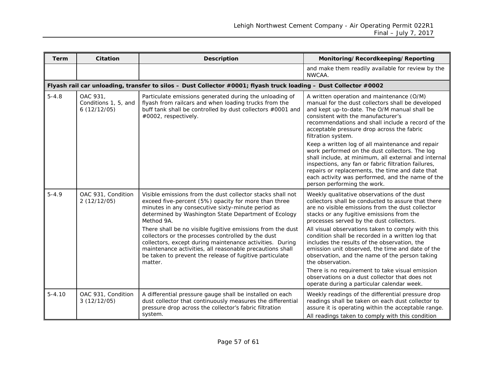| <b>Term</b> | Citation                                        | <b>Description</b>                                                                                                                                                                                                                                                                                             | Monitoring/Recordkeeping/Reporting                                                                                                                                                                                                                                                                                                                      |
|-------------|-------------------------------------------------|----------------------------------------------------------------------------------------------------------------------------------------------------------------------------------------------------------------------------------------------------------------------------------------------------------------|---------------------------------------------------------------------------------------------------------------------------------------------------------------------------------------------------------------------------------------------------------------------------------------------------------------------------------------------------------|
|             |                                                 |                                                                                                                                                                                                                                                                                                                | and make them readily available for review by the<br>NWCAA.                                                                                                                                                                                                                                                                                             |
|             |                                                 | Flyash rail car unloading, transfer to silos - Dust Collector #0001; flyash truck loading - Dust Collector #0002                                                                                                                                                                                               |                                                                                                                                                                                                                                                                                                                                                         |
| $5 - 4.8$   | OAC 931,<br>Conditions 1, 5, and<br>6(12/12/05) | Particulate emissions generated during the unloading of<br>flyash from railcars and when loading trucks from the<br>buff tank shall be controlled by dust collectors #0001 and<br>#0002, respectively.                                                                                                         | A written operation and maintenance (O/M)<br>manual for the dust collectors shall be developed<br>and kept up-to-date. The O/M manual shall be<br>consistent with the manufacturer's<br>recommendations and shall include a record of the<br>acceptable pressure drop across the fabric<br>filtration system.                                           |
|             |                                                 |                                                                                                                                                                                                                                                                                                                | Keep a written log of all maintenance and repair<br>work performed on the dust collectors. The log<br>shall include, at minimum, all external and internal<br>inspections, any fan or fabric filtration failures,<br>repairs or replacements, the time and date that<br>each activity was performed, and the name of the<br>person performing the work. |
| $5 - 4.9$   | OAC 931, Condition<br>2(12/12/05)               | Visible emissions from the dust collector stacks shall not<br>exceed five-percent (5%) opacity for more than three<br>minutes in any consecutive sixty-minute period as<br>determined by Washington State Department of Ecology<br>Method 9A.                                                                  | Weekly qualitative observations of the dust<br>collectors shall be conducted to assure that there<br>are no visible emissions from the dust collector<br>stacks or any fugitive emissions from the<br>processes served by the dust collectors.                                                                                                          |
|             |                                                 | There shall be no visible fugitive emissions from the dust<br>collectors or the processes controlled by the dust<br>collectors, except during maintenance activities. During<br>maintenance activities, all reasonable precautions shall<br>be taken to prevent the release of fugitive particulate<br>matter. | All visual observations taken to comply with this<br>condition shall be recorded in a written log that<br>includes the results of the observation, the<br>emission unit observed, the time and date of the<br>observation, and the name of the person taking<br>the observation.                                                                        |
|             |                                                 |                                                                                                                                                                                                                                                                                                                | There is no requirement to take visual emission<br>observations on a dust collector that does not<br>operate during a particular calendar week.                                                                                                                                                                                                         |
| $5 - 4.10$  | OAC 931, Condition<br>3(12/12/05)               | A differential pressure gauge shall be installed on each<br>dust collector that continuously measures the differential<br>pressure drop across the collector's fabric filtration<br>system.                                                                                                                    | Weekly readings of the differential pressure drop<br>readings shall be taken on each dust collector to<br>assure it is operating within the acceptable range.<br>All readings taken to comply with this condition                                                                                                                                       |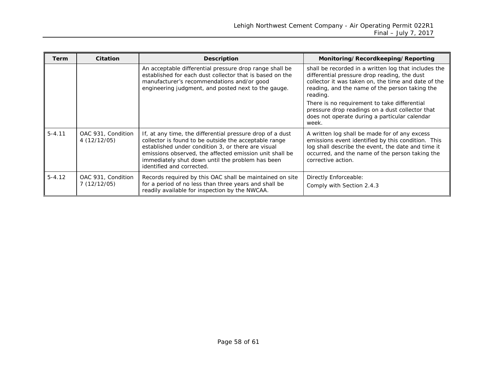| Term       | Citation                          | <b>Description</b>                                                                                                                                                                                                                                                                                                   | Monitoring/Recordkeeping/Reporting                                                                                                                                                                                                 |
|------------|-----------------------------------|----------------------------------------------------------------------------------------------------------------------------------------------------------------------------------------------------------------------------------------------------------------------------------------------------------------------|------------------------------------------------------------------------------------------------------------------------------------------------------------------------------------------------------------------------------------|
|            |                                   | An acceptable differential pressure drop range shall be<br>established for each dust collector that is based on the<br>manufacturer's recommendations and/or good<br>engineering judgment, and posted next to the gauge.                                                                                             | shall be recorded in a written log that includes the<br>differential pressure drop reading, the dust<br>collector it was taken on, the time and date of the<br>reading, and the name of the person taking the<br>reading.          |
|            |                                   |                                                                                                                                                                                                                                                                                                                      | There is no requirement to take differential<br>pressure drop readings on a dust collector that<br>does not operate during a particular calendar<br>week.                                                                          |
| $5 - 4.11$ | OAC 931, Condition<br>4(12/12/05) | If, at any time, the differential pressure drop of a dust<br>collector is found to be outside the acceptable range<br>established under condition 3, or there are visual<br>emissions observed, the affected emission unit shall be<br>immediately shut down until the problem has been<br>identified and corrected. | A written log shall be made for of any excess<br>emissions event identified by this condition. This<br>log shall describe the event, the date and time it<br>occurred, and the name of the person taking the<br>corrective action. |
| $5 - 4.12$ | OAC 931, Condition<br>7(12/12/05) | Records required by this OAC shall be maintained on site<br>for a period of no less than three years and shall be<br>readily available for inspection by the NWCAA.                                                                                                                                                  | Directly Enforceable:<br>Comply with Section 2.4.3                                                                                                                                                                                 |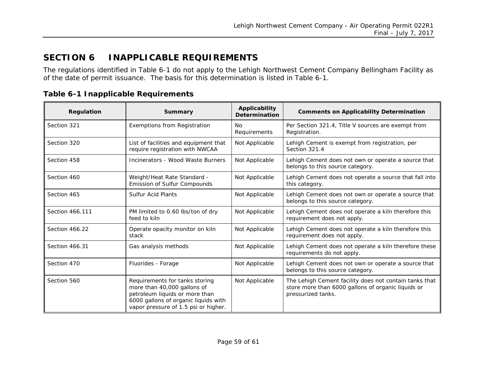# **SECTION 6 INAPPLICABLE REQUIREMENTS**

The regulations identified in [Table 6-1](#page-58-2) do not apply to the Lehigh Northwest Cement Company Bellingham Facility as of the date of permit issuance. The basis for this determination is listed in [Table 6-1.](#page-58-2)

<span id="page-58-1"></span><span id="page-58-0"></span>

| <b>Regulation</b> | Summary                                                                                                                                                                         | Applicability<br><b>Determination</b> | <b>Comments on Applicability Determination</b>                                                                                     |
|-------------------|---------------------------------------------------------------------------------------------------------------------------------------------------------------------------------|---------------------------------------|------------------------------------------------------------------------------------------------------------------------------------|
| Section 321       | Exemptions from Registration                                                                                                                                                    | No<br>Requirements                    | Per Section 321.4, Title V sources are exempt from<br>Registration.                                                                |
| Section 320       | List of facilities and equipment that<br>require registration with NWCAA                                                                                                        | Not Applicable                        | Lehigh Cement is exempt from registration, per<br>Section 321.4                                                                    |
| Section 458       | Incinerators - Wood Waste Burners                                                                                                                                               | Not Applicable                        | Lehigh Cement does not own or operate a source that<br>belongs to this source category.                                            |
| Section 460       | Weight/Heat Rate Standard -<br>Emission of Sulfur Compounds                                                                                                                     | Not Applicable                        | Lehigh Cement does not operate a source that fall into<br>this category.                                                           |
| Section 465       | <b>Sulfur Acid Plants</b>                                                                                                                                                       | Not Applicable                        | Lehigh Cement does not own or operate a source that<br>belongs to this source category.                                            |
| Section 466,111   | PM limited to 0.60 lbs/ton of dry<br>feed to kiln                                                                                                                               | Not Applicable                        | Lehigh Cement does not operate a kiln therefore this<br>requirement does not apply.                                                |
| Section 466.22    | Operate opacity monitor on kiln<br>stack                                                                                                                                        | Not Applicable                        | Lehigh Cement does not operate a kiln therefore this<br>requirement does not apply.                                                |
| Section 466.31    | Gas analysis methods                                                                                                                                                            | Not Applicable                        | Lehigh Cement does not operate a kiln therefore these<br>requirements do not apply.                                                |
| Section 470       | Fluorides - Forage                                                                                                                                                              | Not Applicable                        | Lehigh Cement does not own or operate a source that<br>belongs to this source category.                                            |
| Section 560       | Requirements for tanks storing<br>more than 40,000 gallons of<br>petroleum liquids or more than<br>6000 gallons of organic liquids with<br>vapor pressure of 1.5 psi or higher. | Not Applicable                        | The Lehigh Cement facility does not contain tanks that<br>store more than 6000 gallons of organic liquids or<br>pressurized tanks. |

<span id="page-58-2"></span>**Table 6-1 Inapplicable Requirements**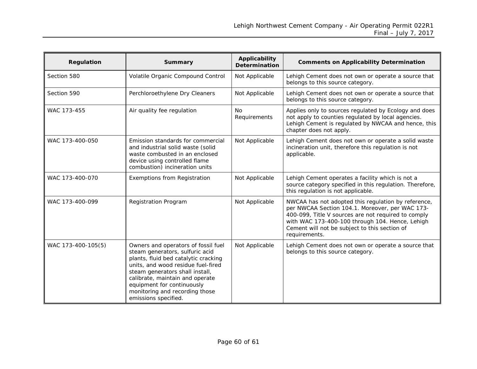| Regulation         | Summary                                                                                                                                                                                                                                                                                                            | Applicability<br><b>Determination</b> | <b>Comments on Applicability Determination</b>                                                                                                                                                                                                                                     |
|--------------------|--------------------------------------------------------------------------------------------------------------------------------------------------------------------------------------------------------------------------------------------------------------------------------------------------------------------|---------------------------------------|------------------------------------------------------------------------------------------------------------------------------------------------------------------------------------------------------------------------------------------------------------------------------------|
| Section 580        | Volatile Organic Compound Control                                                                                                                                                                                                                                                                                  | Not Applicable                        | Lehigh Cement does not own or operate a source that<br>belongs to this source category.                                                                                                                                                                                            |
| Section 590        | Perchloroethylene Dry Cleaners                                                                                                                                                                                                                                                                                     | Not Applicable                        | Lehigh Cement does not own or operate a source that<br>belongs to this source category.                                                                                                                                                                                            |
| WAC 173-455        | Air quality fee regulation                                                                                                                                                                                                                                                                                         | <b>No</b><br>Requirements             | Applies only to sources regulated by Ecology and does<br>not apply to counties regulated by local agencies.<br>Lehigh Cement is regulated by NWCAA and hence, this<br>chapter does not apply.                                                                                      |
| WAC 173-400-050    | Emission standards for commercial<br>and industrial solid waste (solid<br>waste combusted in an enclosed<br>device using controlled flame<br>combustion) incineration units                                                                                                                                        | Not Applicable                        | Lehigh Cement does not own or operate a solid waste<br>incineration unit, therefore this regulation is not<br>applicable.                                                                                                                                                          |
| WAC 173-400-070    | Exemptions from Registration                                                                                                                                                                                                                                                                                       | Not Applicable                        | Lehigh Cement operates a facility which is not a<br>source category specified in this regulation. Therefore,<br>this regulation is not applicable.                                                                                                                                 |
| WAC 173-400-099    | <b>Registration Program</b>                                                                                                                                                                                                                                                                                        | Not Applicable                        | NWCAA has not adopted this regulation by reference,<br>per NWCAA Section 104.1. Moreover, per WAC 173-<br>400-099, Title V sources are not required to comply<br>with WAC 173-400-100 through 104. Hence, Lehigh<br>Cement will not be subject to this section of<br>requirements. |
| WAC 173-400-105(5) | Owners and operators of fossil fuel<br>steam generators, sulfuric acid<br>plants, fluid bed catalytic cracking<br>units, and wood residue fuel-fired<br>steam generators shall install,<br>calibrate, maintain and operate<br>equipment for continuously<br>monitoring and recording those<br>emissions specified. | Not Applicable                        | Lehigh Cement does not own or operate a source that<br>belongs to this source category.                                                                                                                                                                                            |